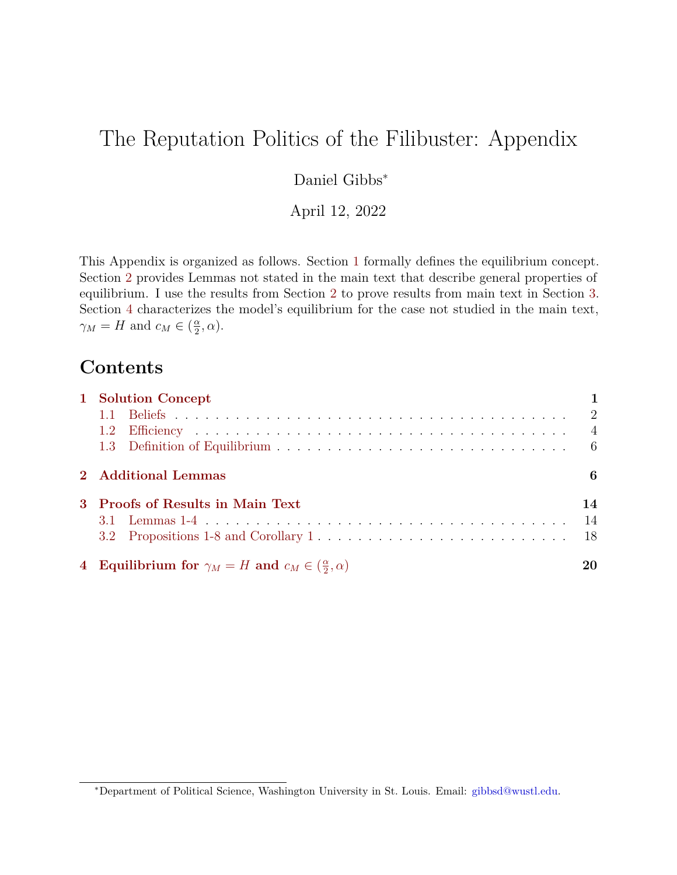# <span id="page-0-0"></span>The Reputation Politics of the Filibuster: Appendix

# Daniel Gibbs<sup>∗</sup>

April 12, 2022

This Appendix is organized as follows. Section [1](#page-1-0) formally defines the equilibrium concept. Section [2](#page-6-0) provides Lemmas not stated in the main text that describe general properties of equilibrium. I use the results from Section [2](#page-6-0) to prove results from main text in Section [3.](#page-14-0) Section [4](#page-20-0) characterizes the model's equilibrium for the case not studied in the main text,  $\gamma_M = H$  and  $c_M \in \left(\frac{\alpha}{2}\right)$  $\frac{\alpha}{2}, \alpha$ ).

# **Contents**

| 1 Solution Concept                                                        |                |
|---------------------------------------------------------------------------|----------------|
|                                                                           |                |
|                                                                           | $\overline{4}$ |
|                                                                           |                |
| 2 Additional Lemmas                                                       | 6              |
| 3 Proofs of Results in Main Text                                          | 14             |
|                                                                           | -14            |
|                                                                           |                |
| 4 Equilibrium for $\gamma_M = H$ and $c_M \in (\frac{\alpha}{2}, \alpha)$ | 20             |

<sup>∗</sup>Department of Political Science, Washington University in St. Louis. Email: [gibbsd@wustl.edu.](mailto:gibbsd@wustl.edu)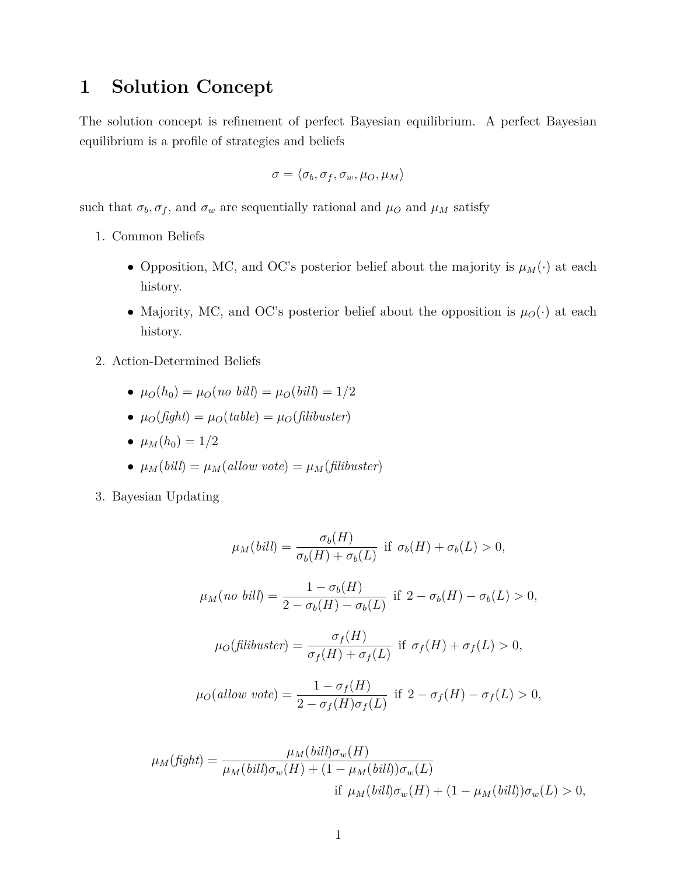# <span id="page-1-0"></span>**1 Solution Concept**

The solution concept is refinement of perfect Bayesian equilibrium. A perfect Bayesian equilibrium is a profile of strategies and beliefs

$$
\sigma = \langle \sigma_b, \sigma_f, \sigma_w, \mu_O, \mu_M \rangle
$$

such that  $\sigma_b$ ,  $\sigma_f$ , and  $\sigma_w$  are sequentially rational and  $\mu_O$  and  $\mu_M$  satisfy

- 1. Common Beliefs
	- Opposition, MC, and OC's posterior belief about the majority is  $\mu_M(\cdot)$  at each history.
	- Majority, MC, and OC's posterior belief about the opposition is  $\mu_O(\cdot)$  at each history.
- 2. Action-Determined Beliefs
	- $\mu_O(h_0) = \mu_O(no \; bill) = \mu_O(bill) = 1/2$
	- $\mu_O(fight) = \mu_O(table) = \mu_O(filibuster)$
	- $\mu_M(h_0) = 1/2$
	- $\mu_M(bill) = \mu_M(allow\ vote) = \mu_M(filibuster)$
- 3. Bayesian Updating

$$
\mu_M(bill) = \frac{\sigma_b(H)}{\sigma_b(H) + \sigma_b(L)}
$$
 if  $\sigma_b(H) + \sigma_b(L) > 0$ ,  
\n
$$
\mu_M(no \; bill) = \frac{1 - \sigma_b(H)}{2 - \sigma_b(H) - \sigma_b(L)}
$$
 if  $2 - \sigma_b(H) - \sigma_b(L) > 0$ ,  
\n
$$
\mu_O(filibuster) = \frac{\sigma_f(H)}{\sigma_f(H) + \sigma_f(L)}
$$
 if  $\sigma_f(H) + \sigma_f(L) > 0$ ,  
\n
$$
\mu_O(allow \; vote) = \frac{1 - \sigma_f(H)}{2 - \sigma_f(H) - \sigma_f(L)} \text{ if } 2 - \sigma_f(H) - \sigma_f(L) > 0,
$$

$$
\mu_M(fight) = \frac{\mu_M(bill)\sigma_w(H)}{\mu_M(bill)\sigma_w(H) + (1 - \mu_M(bill))\sigma_w(L)}
$$
  
if  $\mu_M(bill)\sigma_w(H) + (1 - \mu_M(bill))\sigma_w(L) > 0$ ,

 $2 - \sigma_f(H)\sigma_f(L)$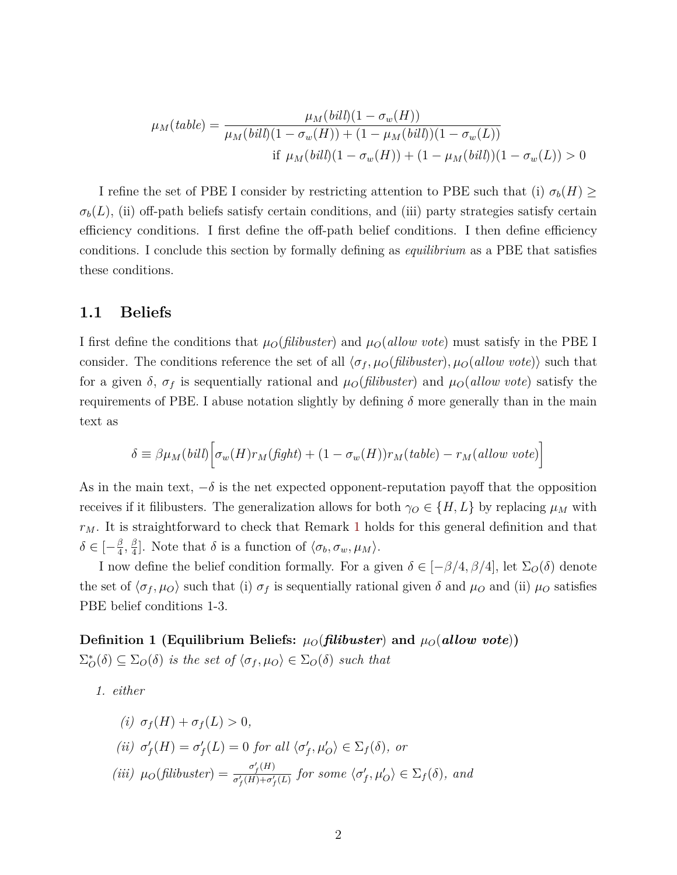$$
\mu_M(table) = \frac{\mu_M(bill)(1 - \sigma_w(H))}{\mu_M(bill)(1 - \sigma_w(H)) + (1 - \mu_M(bill))(1 - \sigma_w(L))}
$$
  
if  $\mu_M(bill)(1 - \sigma_w(H)) + (1 - \mu_M(bill))(1 - \sigma_w(L)) > 0$ 

I refine the set of PBE I consider by restricting attention to PBE such that (i)  $\sigma_b(H) \geq$  $\sigma_b(L)$ , (ii) off-path beliefs satisfy certain conditions, and (iii) party strategies satisfy certain efficiency conditions. I first define the off-path belief conditions. I then define efficiency conditions. I conclude this section by formally defining as *equilibrium* as a PBE that satisfies these conditions.

### <span id="page-2-0"></span>**1.1 Beliefs**

I first define the conditions that  $\mu_O$ (*filibuster*) and  $\mu_O$ (*allow vote*) must satisfy in the PBE I consider. The conditions reference the set of all h*σ<sup>f</sup> , µO*(*filibuster*)*, µO*(*allow vote*)i such that for a given  $\delta$ ,  $\sigma_f$  is sequentially rational and  $\mu_O(flibuster)$  and  $\mu_O(allow\ vote)$  satisfy the requirements of PBE. I abuse notation slightly by defining  $\delta$  more generally than in the main text as

$$
\delta \equiv \beta \mu_M(bill) \Big[ \sigma_w(H) r_M(fight) + (1 - \sigma_w(H)) r_M(table) - r_M(allow\ vote) \Big]
$$

As in the main text,  $-\delta$  is the net expected opponent-reputation payoff that the opposition receives if it filibusters. The generalization allows for both  $\gamma_O \in \{H, L\}$  by replacing  $\mu_M$  with *rM*. It is straightforward to check that Remark [1](#page-7-0) holds for this general definition and that  $\delta \in [-\frac{\beta}{4}]$  $\frac{\beta}{4}, \frac{\beta}{4}$  $\frac{\beta}{4}$ . Note that  $\delta$  is a function of  $\langle \sigma_b, \sigma_w, \mu_M \rangle$ .

I now define the belief condition formally. For a given  $\delta \in [-\beta/4, \beta/4]$ , let  $\Sigma_{\mathcal{O}}(\delta)$  denote the set of  $\langle \sigma_f, \mu_O \rangle$  such that (i)  $\sigma_f$  is sequentially rational given  $\delta$  and  $\mu_O$  and (ii)  $\mu_O$  satisfies PBE belief conditions 1-3.

**Definition 1 (Equilibrium Beliefs:**  $\mu_O(\textit{filibuster})$  and  $\mu_O(\textit{allow vote})$ )  $\Sigma_{\mathcal{O}}^*(\delta) \subseteq \Sigma_{\mathcal{O}}(\delta)$  *is the set of*  $\langle \sigma_f, \mu_O \rangle \in \Sigma_{\mathcal{O}}(\delta)$  *such that* 

*1. either*

(i) 
$$
\sigma_f(H) + \sigma_f(L) > 0
$$
,  
\n(ii)  $\sigma'_f(H) = \sigma'_f(L) = 0$  for all  $\langle \sigma'_f, \mu'_O \rangle \in \Sigma_f(\delta)$ , or  
\n(iii)  $\mu_O(\text{filibuster}) = \frac{\sigma'_f(H)}{\sigma'_f(H) + \sigma'_f(L)}$  for some  $\langle \sigma'_f, \mu'_O \rangle \in \Sigma_f(\delta)$ , and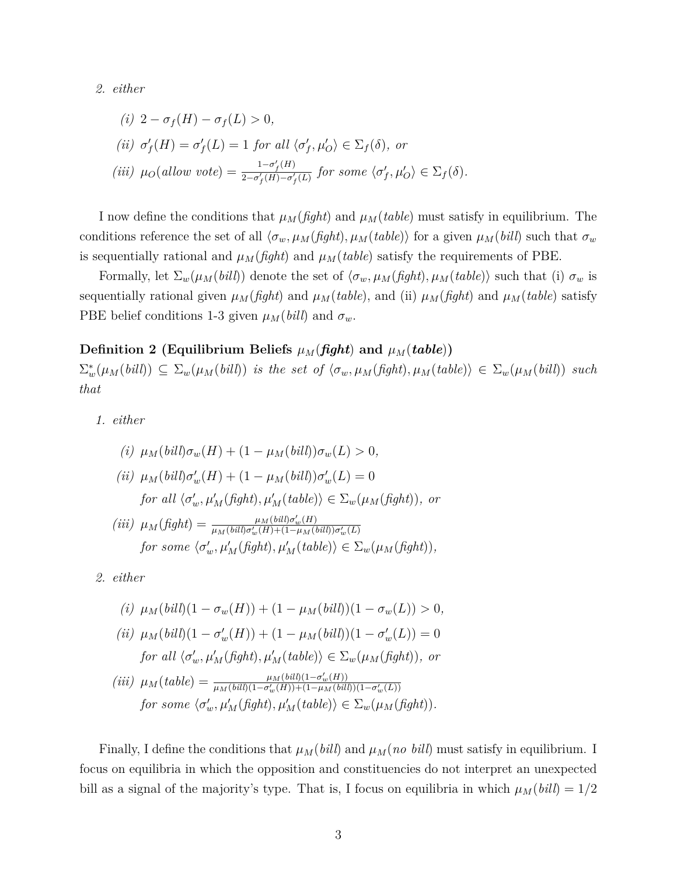<span id="page-3-0"></span>*2. either*

(i) 
$$
2 - \sigma_f(H) - \sigma_f(L) > 0
$$
,  
\n(ii)  $\sigma'_f(H) = \sigma'_f(L) = 1$  for all  $\langle \sigma'_f, \mu'_O \rangle \in \Sigma_f(\delta)$ , or  
\n(iii)  $\mu_O(allow\ vote) = \frac{1 - \sigma'_f(H)}{2 - \sigma'_f(H) - \sigma'_f(L)}$  for some  $\langle \sigma'_f, \mu'_O \rangle \in \Sigma_f(\delta)$ .

I now define the conditions that  $\mu_M(fight)$  and  $\mu_M(table)$  must satisfy in equilibrium. The conditions reference the set of all  $\langle \sigma_w, \mu_M(fight), \mu_M(table) \rangle$  for a given  $\mu_M(bill)$  such that  $\sigma_w$ is sequentially rational and  $\mu_M(fight)$  and  $\mu_M(table)$  satisfy the requirements of PBE.

Formally, let  $\Sigma_w(\mu_M(bill))$  denote the set of  $\langle \sigma_w, \mu_M(fight), \mu_M(table) \rangle$  such that (i)  $\sigma_w$  is sequentially rational given  $\mu_M(fight)$  and  $\mu_M(table)$ , and (ii)  $\mu_M(fight)$  and  $\mu_M(table)$  satisfy PBE belief conditions 1-3 given  $\mu_M(bill)$  and  $\sigma_w$ .

### **Definition 2 (Equilibrium Beliefs**  $\mu_M$ (*fight*) and  $\mu_M$ (*table*))

 $\Sigma_w^*(\mu_M(bill)) \subseteq \Sigma_w(\mu_M(bill))$  is the set of  $\langle \sigma_w, \mu_M(fight), \mu_M(table) \rangle \in \Sigma_w(\mu_M(bill))$  such *that*

*1. either*

(i) 
$$
\mu_M(bill)\sigma_w(H) + (1 - \mu_M(bill))\sigma_w(L) > 0,
$$
  
\n(ii)  $\mu_M(bill)\sigma'_w(H) + (1 - \mu_M(bill))\sigma'_w(L) = 0$   
\nfor all  $\langle \sigma'_w, \mu'_M(fight), \mu'_M(table)\rangle \in \Sigma_w(\mu_M(fight)),$  or  
\n(iii)  $\mu_M(fight) = \frac{\mu_M(bill)\sigma'_w(H)}{\mu_M(bill)\sigma'_w(H) + (1 - \mu_M(bill))\sigma'_w(L)}$   
\nfor some  $\langle \sigma'_w, \mu'_M(fight), \mu'_M(table)\rangle \in \Sigma_w(\mu_M(fight)),$ 

<span id="page-3-1"></span>*2. either*

(i) 
$$
\mu_M(bill)(1 - \sigma_w(H)) + (1 - \mu_M(bill))(1 - \sigma_w(L)) > 0,
$$
  
(ii)  $\mu_M(bill)(1 - \sigma'_w(H)) + (1 - \mu_M(bill))(1 - \sigma'_w(L)) = 0$ 

for all 
$$
\langle \sigma'_w, \mu'_M(fight), \mu'_M(table)\rangle \in \Sigma_w(\mu_M(fight)),
$$
 or

$$
(iii) \mu_M(table) = \frac{\mu_M(bil)(1 - \sigma'_w(H))}{\mu_M(bil)(1 - \sigma'_w(H)) + (1 - \mu_M(bil))(1 - \sigma'_w(L))}
$$
  
for some  $\langle \sigma'_w, \mu'_M(fight), \mu'_M(table) \rangle \in \Sigma_w(\mu_M(fight)).$ 

Finally, I define the conditions that  $\mu_M(bill)$  and  $\mu_M(no\; bill)$  must satisfy in equilibrium. I focus on equilibria in which the opposition and constituencies do not interpret an unexpected bill as a signal of the majority's type. That is, I focus on equilibria in which  $\mu_M(bil) = 1/2$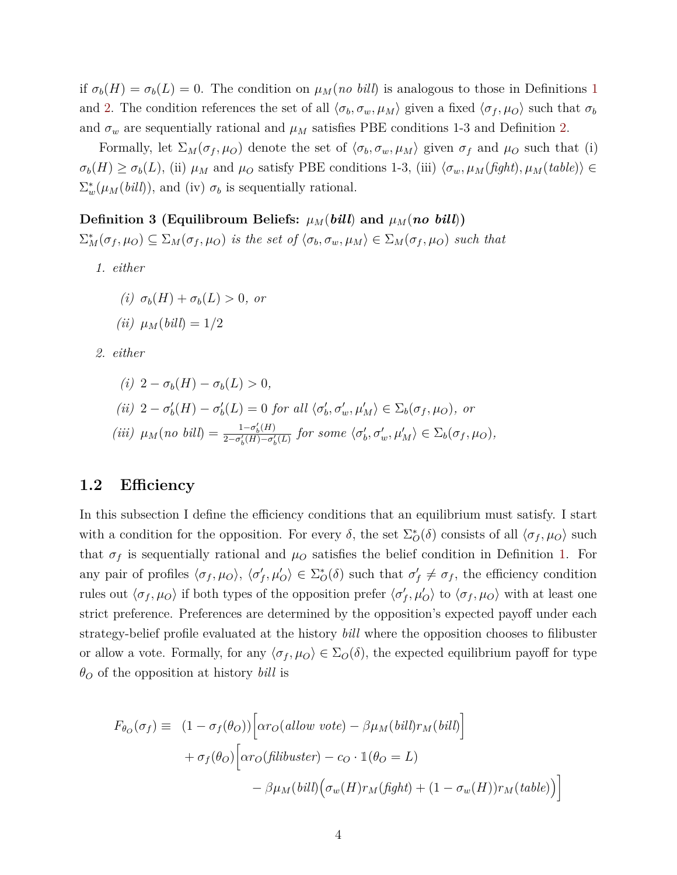if  $\sigma_b(H) = \sigma_b(L) = 0$ . The condition on  $\mu_M(n \text{ of } b \text{ in } b)$  is analogous to those in Definitions [1](#page-3-0) and [2.](#page-3-1) The condition references the set of all  $\langle \sigma_b, \sigma_w, \mu_M \rangle$  given a fixed  $\langle \sigma_f, \mu_O \rangle$  such that  $\sigma_b$ and  $\sigma_w$  are sequentially rational and  $\mu_M$  satisfies PBE conditions 1-3 and Definition [2.](#page-3-1)

Formally, let  $\Sigma_M(\sigma_f, \mu_O)$  denote the set of  $\langle \sigma_b, \sigma_w, \mu_M \rangle$  given  $\sigma_f$  and  $\mu_O$  such that (i)  $\sigma_b(H) \geq \sigma_b(L)$ , (ii)  $\mu_M$  and  $\mu_O$  satisfy PBE conditions 1-3, (iii)  $\langle \sigma_w, \mu_M(fight), \mu_M(table) \rangle \in$  $\Sigma_w^*(\mu_M(bill))$ , and (iv)  $\sigma_b$  is sequentially rational.

### **Definition 3 (Equilibroum Beliefs:**  $\mu_M$ (*bill*) and  $\mu_M$ (*no bill*))

 $\Sigma_M^*(\sigma_f,\mu_O) \subseteq \Sigma_M(\sigma_f,\mu_O)$  is the set of  $\langle \sigma_b, \sigma_w, \mu_M \rangle \in \Sigma_M(\sigma_f,\mu_O)$  such that

*1. either*

$$
(i) \ \sigma_b(H) + \sigma_b(L) > 0, \text{ or}
$$

$$
(ii) \mu_M(bill) = 1/2
$$

<span id="page-4-1"></span>*2. either*

(i) 
$$
2 - \sigma_b(H) - \sigma_b(L) > 0
$$
,  
\n(ii)  $2 - \sigma'_b(H) - \sigma'_b(L) = 0$  for all  $\langle \sigma'_b, \sigma'_w, \mu'_M \rangle \in \Sigma_b(\sigma_f, \mu_O)$ , or  
\n(iii)  $\mu_M(no \, bill) = \frac{1 - \sigma'_b(H)}{2 - \sigma'_b(H) - \sigma'_b(L)}$  for some  $\langle \sigma'_b, \sigma'_w, \mu'_M \rangle \in \Sigma_b(\sigma_f, \mu_O)$ ,

### <span id="page-4-0"></span>**1.2 Efficiency**

In this subsection I define the efficiency conditions that an equilibrium must satisfy. I start with a condition for the opposition. For every  $\delta$ , the set  $\Sigma_{\mathcal{O}}^*(\delta)$  consists of all  $\langle \sigma_f, \mu_O \rangle$  such that  $\sigma_f$  is sequentially rational and  $\mu_O$  satisfies the belief condition in Definition [1.](#page-3-0) For any pair of profiles  $\langle \sigma_f, \mu_O \rangle$ ,  $\langle \sigma'_f, \mu'_O \rangle \in \Sigma^*_{O}(\delta)$  such that  $\sigma'_f \neq \sigma_f$ , the efficiency condition rules out  $\langle \sigma_f, \mu_O \rangle$  if both types of the opposition prefer  $\langle \sigma'_f, \mu'_O \rangle$  to  $\langle \sigma_f, \mu_O \rangle$  with at least one strict preference. Preferences are determined by the opposition's expected payoff under each strategy-belief profile evaluated at the history *bill* where the opposition chooses to filibuster or allow a vote. Formally, for any  $\langle \sigma_f, \mu_O \rangle \in \Sigma_O(\delta)$ , the expected equilibrium payoff for type *θ<sup>O</sup>* of the opposition at history *bill* is

<span id="page-4-2"></span>
$$
F_{\theta_O}(\sigma_f) \equiv (1 - \sigma_f(\theta_O)) \Big[ \alpha r_O(allow \; vote) - \beta \mu_M(bill) r_M(bill) \Big] + \sigma_f(\theta_O) \Big[ \alpha r_O(filibuster) - c_O \cdot \mathbb{1}(\theta_O = L) - \beta \mu_M(bill) \Big( \sigma_w(H) r_M(fight) + (1 - \sigma_w(H)) r_M(table) \Big) \Big]
$$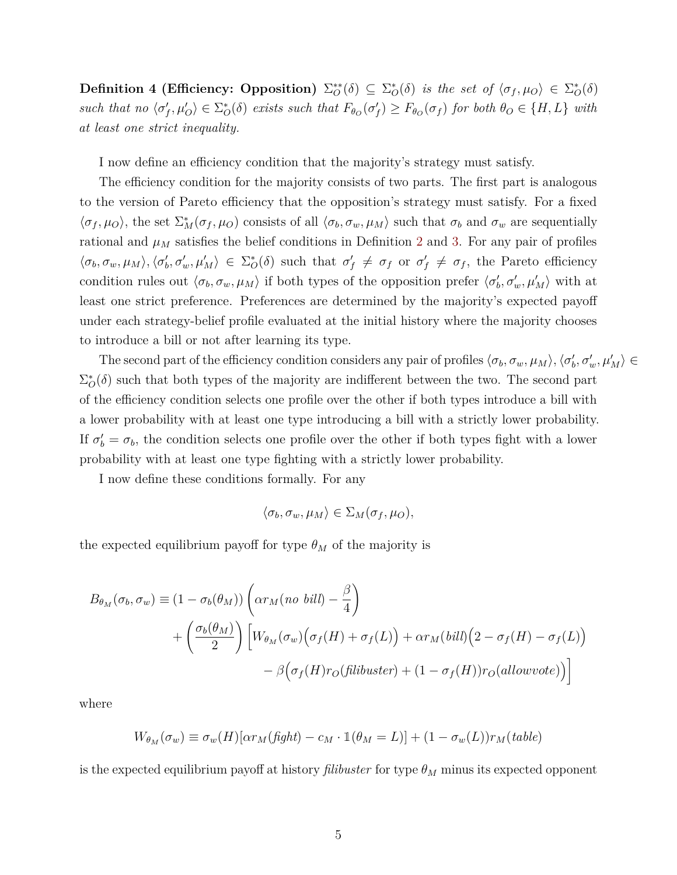**Definition 4 (Efficiency: Opposition)**  $\Sigma_{\mathcal{O}}^{**}(\delta) \subseteq \Sigma_{\mathcal{O}}^{*}(\delta)$  *is the set of*  $\langle \sigma_f, \mu_O \rangle \in \Sigma_{\mathcal{O}}^{*}(\delta)$ such that no  $\langle \sigma'_f, \mu'_O \rangle \in \Sigma^*_{O}(\delta)$  exists such that  $F_{\theta_O}(\sigma'_f) \geq F_{\theta_O}(\sigma_f)$  for both  $\theta_O \in \{H, L\}$  with *at least one strict inequality.*

I now define an efficiency condition that the majority's strategy must satisfy.

The efficiency condition for the majority consists of two parts. The first part is analogous to the version of Pareto efficiency that the opposition's strategy must satisfy. For a fixed  $\langle \sigma_f, \mu_O \rangle$ , the set  $\Sigma_M^*(\sigma_f, \mu_O)$  consists of all  $\langle \sigma_b, \sigma_w, \mu_M \rangle$  such that  $\sigma_b$  and  $\sigma_w$  are sequentially rational and  $\mu_M$  satisfies the belief conditions in Definition [2](#page-3-1) and [3.](#page-4-1) For any pair of profiles  $\langle \sigma_b, \sigma_w, \mu_M \rangle, \langle \sigma'_b, \sigma'_w, \mu'_M \rangle \in \Sigma^*_{\mathcal{O}}(\delta)$  such that  $\sigma'_f \neq \sigma_f$  or  $\sigma'_f \neq \sigma_f$ , the Pareto efficiency condition rules out  $\langle \sigma_b, \sigma_w, \mu_M \rangle$  if both types of the opposition prefer  $\langle \sigma'_b, \sigma'_w, \mu'_M \rangle$  with at least one strict preference. Preferences are determined by the majority's expected payoff under each strategy-belief profile evaluated at the initial history where the majority chooses to introduce a bill or not after learning its type.

The second part of the efficiency condition considers any pair of profiles  $\langle \sigma_b, \sigma_w, \mu_M \rangle$ ,  $\langle \sigma'_b, \sigma'_w, \mu'_M \rangle \in$  $\Sigma_{\mathcal{O}}^*(\delta)$  such that both types of the majority are indifferent between the two. The second part of the efficiency condition selects one profile over the other if both types introduce a bill with a lower probability with at least one type introducing a bill with a strictly lower probability. If  $\sigma'_b = \sigma_b$ , the condition selects one profile over the other if both types fight with a lower probability with at least one type fighting with a strictly lower probability.

I now define these conditions formally. For any

$$
\langle \sigma_b, \sigma_w, \mu_M \rangle \in \Sigma_M(\sigma_f, \mu_O),
$$

the expected equilibrium payoff for type  $\theta_M$  of the majority is

$$
B_{\theta_M}(\sigma_b, \sigma_w) \equiv (1 - \sigma_b(\theta_M)) \left( \alpha r_M(no \; bill) - \frac{\beta}{4} \right)
$$
  
+ 
$$
\left( \frac{\sigma_b(\theta_M)}{2} \right) \left[ W_{\theta_M}(\sigma_w) \left( \sigma_f(H) + \sigma_f(L) \right) + \alpha r_M(bill) \left( 2 - \sigma_f(H) - \sigma_f(L) \right) - \beta \left( \sigma_f(H) r_O(\text{filibuster}) + (1 - \sigma_f(H)) r_O(\text{allowvote}) \right) \right]
$$

where

$$
W_{\theta_M}(\sigma_w) \equiv \sigma_w(H)[\alpha r_M(fight) - c_M \cdot \mathbb{1}(\theta_M = L)] + (1 - \sigma_w(L))r_M(table)
$$

is the expected equilibrium payoff at history *filibuster* for type  $\theta_M$  minus its expected opponent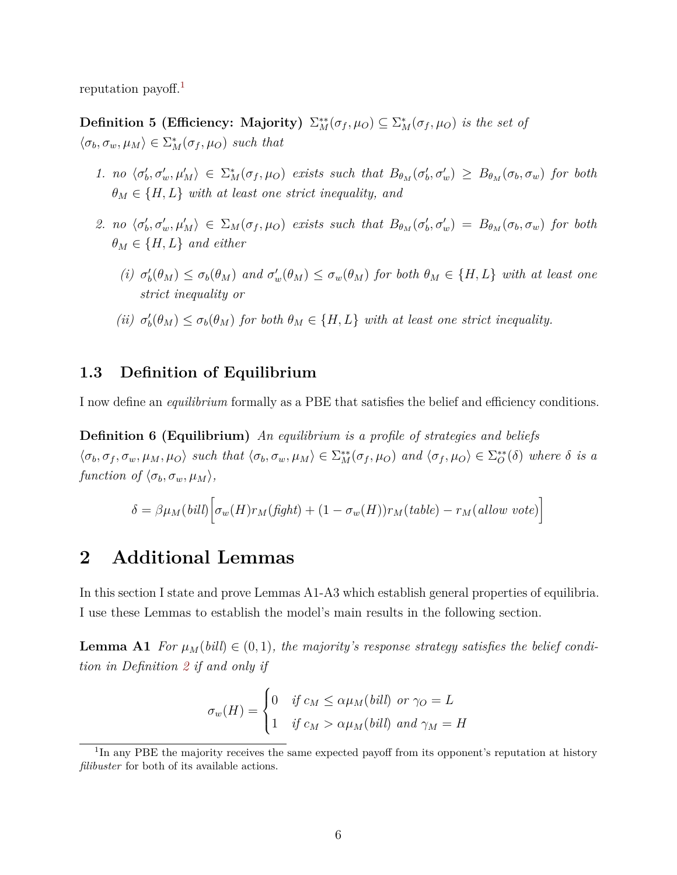reputation payoff.<sup>[1](#page-0-0)</sup>

**Definition 5 (Efficiency: Majority)**  $\Sigma_M^{**}(\sigma_f, \mu_O) \subseteq \Sigma_M^{*}(\sigma_f, \mu_O)$  *is the set of*  $\langle \sigma_b, \sigma_w, \mu_M \rangle \in \Sigma_M^*(\sigma_f, \mu_O)$  *such that* 

- 1. no  $\langle \sigma'_b, \sigma'_w, \mu'_M \rangle \in \Sigma_M^*(\sigma_f, \mu_O)$  exists such that  $B_{\theta_M}(\sigma'_b, \sigma'_w) \geq B_{\theta_M}(\sigma_b, \sigma_w)$  for both  $\theta_M \in \{H, L\}$  *with at least one strict inequality, and*
- <span id="page-6-3"></span>2. no  $\langle \sigma'_b, \sigma'_w, \mu'_M \rangle \in \Sigma_M(\sigma_f, \mu_O)$  exists such that  $B_{\theta_M}(\sigma'_b, \sigma'_w) = B_{\theta_M}(\sigma_b, \sigma_w)$  for both  $\theta_M \in \{H, L\}$  *and either* 
	- (i)  $\sigma'_b(\theta_M) \leq \sigma_b(\theta_M)$  and  $\sigma'_w(\theta_M) \leq \sigma_w(\theta_M)$  for both  $\theta_M \in \{H, L\}$  with at least one *strict inequality or*
	- (*ii*)  $\sigma'_b(\theta_M) \leq \sigma_b(\theta_M)$  *for both*  $\theta_M \in \{H, L\}$  *with at least one strict inequality.*

# <span id="page-6-1"></span>**1.3 Definition of Equilibrium**

I now define an *equilibrium* formally as a PBE that satisfies the belief and efficiency conditions.

**Definition 6 (Equilibrium)** *An equilibrium is a profile of strategies and beliefs*  $\langle \sigma_b, \sigma_f, \sigma_w, \mu_M, \mu_O \rangle$  such that  $\langle \sigma_b, \sigma_w, \mu_M \rangle \in \sum_{M}^{**}(\sigma_f, \mu_O)$  and  $\langle \sigma_f, \mu_O \rangle \in \sum_{O}^{**}(\delta)$  where  $\delta$  is a *function of*  $\langle \sigma_b, \sigma_w, \mu_M \rangle$ ,

$$
\delta = \beta \mu_M(bill) \Big[ \sigma_w(H) r_M(fight) + (1 - \sigma_w(H)) r_M(table) - r_M(allow\ vote) \Big]
$$

# <span id="page-6-0"></span>**2 Additional Lemmas**

In this section I state and prove Lemmas A1-A3 which establish general properties of equilibria. I use these Lemmas to establish the model's main results in the following section.

<span id="page-6-2"></span>**Lemma A1** *For*  $\mu_M(bill) \in (0,1)$ *, the majority's response strategy satisfies the belief condition in Definition [2](#page-3-1) if and only if*

$$
\sigma_w(H) = \begin{cases} 0 & \text{if } c_M \le \alpha \mu_M(\text{bill}) \text{ or } \gamma_O = L \\ 1 & \text{if } c_M > \alpha \mu_M(\text{bill}) \text{ and } \gamma_M = H \end{cases}
$$

<sup>&</sup>lt;sup>1</sup>In any PBE the majority receives the same expected payoff from its opponent's reputation at history *filibuster* for both of its available actions.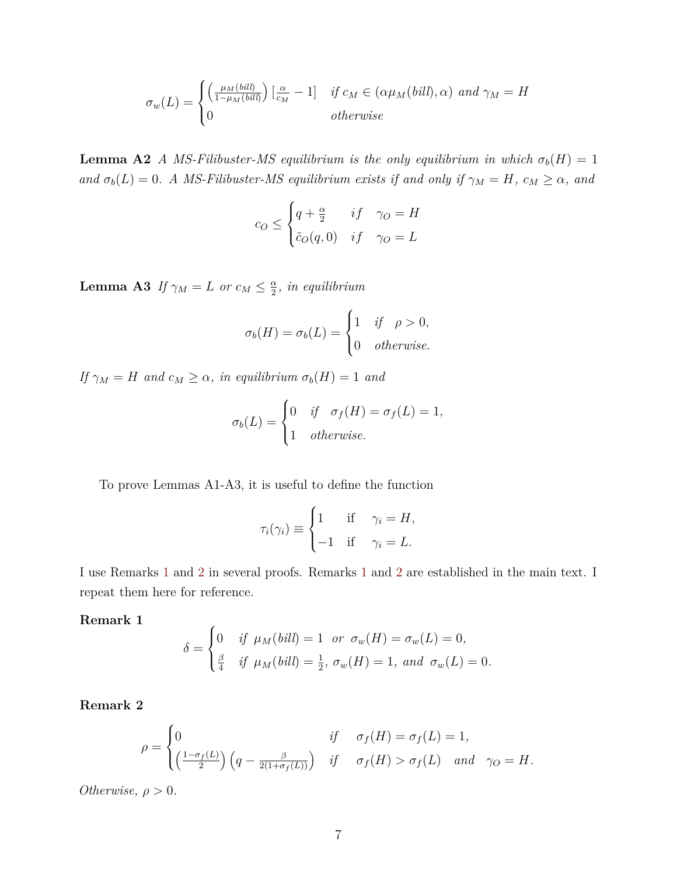$$
\sigma_w(L) = \begin{cases}\n\left(\frac{\mu_M(bill)}{1 - \mu_M(bill)}\right)\left[\frac{\alpha}{c_M} - 1\right] & \text{if } c_M \in (\alpha \mu_M(bill), \alpha) \text{ and } \gamma_M = H \\
0 & \text{otherwise}\n\end{cases}
$$

<span id="page-7-2"></span>**Lemma A2** *A MS-Filibuster-MS equilibrium is the only equilibrium in which*  $\sigma_b(H) = 1$ *and*  $\sigma_b(L) = 0$ *. A MS-Filibuster-MS equilibrium exists if and only if*  $\gamma_M = H$ *,*  $c_M \geq \alpha$ *, and* 

$$
c_O \le \begin{cases} q + \frac{\alpha}{2} & if \quad \gamma_O = H \\ \tilde{c}_O(q, 0) & if \quad \gamma_O = L \end{cases}
$$

<span id="page-7-3"></span>**Lemma A3** *If*  $\gamma_M = L$  *or*  $c_M \leq \frac{\alpha}{2}$  $\frac{\alpha}{2}$ *, in equilibrium* 

$$
\sigma_b(H) = \sigma_b(L) = \begin{cases} 1 & \text{if } \rho > 0, \\ 0 & \text{otherwise.} \end{cases}
$$

*If*  $\gamma_M = H$  *and*  $c_M \geq \alpha$ *, in equilibrium*  $\sigma_b(H) = 1$  *and* 

$$
\sigma_b(L) = \begin{cases} 0 & \text{if } \sigma_f(H) = \sigma_f(L) = 1, \\ 1 & \text{otherwise.} \end{cases}
$$

To prove Lemmas A1-A3, it is useful to define the function

$$
\tau_i(\gamma_i) \equiv \begin{cases} 1 & \text{if } \gamma_i = H, \\ -1 & \text{if } \gamma_i = L. \end{cases}
$$

I use Remarks [1](#page-7-0) and [2](#page-7-1) in several proofs. Remarks [1](#page-7-0) and [2](#page-7-1) are established in the main text. I repeat them here for reference.

<span id="page-7-0"></span>**Remark 1**

$$
\delta = \begin{cases}\n0 & \text{if } \mu_M(\text{bill}) = 1 \text{ or } \sigma_w(H) = \sigma_w(L) = 0, \\
\frac{\beta}{4} & \text{if } \mu_M(\text{bill}) = \frac{1}{2}, \sigma_w(H) = 1, \text{ and } \sigma_w(L) = 0.\n\end{cases}
$$

<span id="page-7-1"></span>**Remark 2**

$$
\rho = \begin{cases} 0 & \text{if} \quad \sigma_f(H) = \sigma_f(L) = 1, \\ \left(\frac{1 - \sigma_f(L)}{2}\right) \left(q - \frac{\beta}{2(1 + \sigma_f(L))}\right) & \text{if} \quad \sigma_f(H) > \sigma_f(L) \quad \text{and} \quad \gamma_O = H. \end{cases}
$$

*Otherwise,*  $\rho > 0$ *.*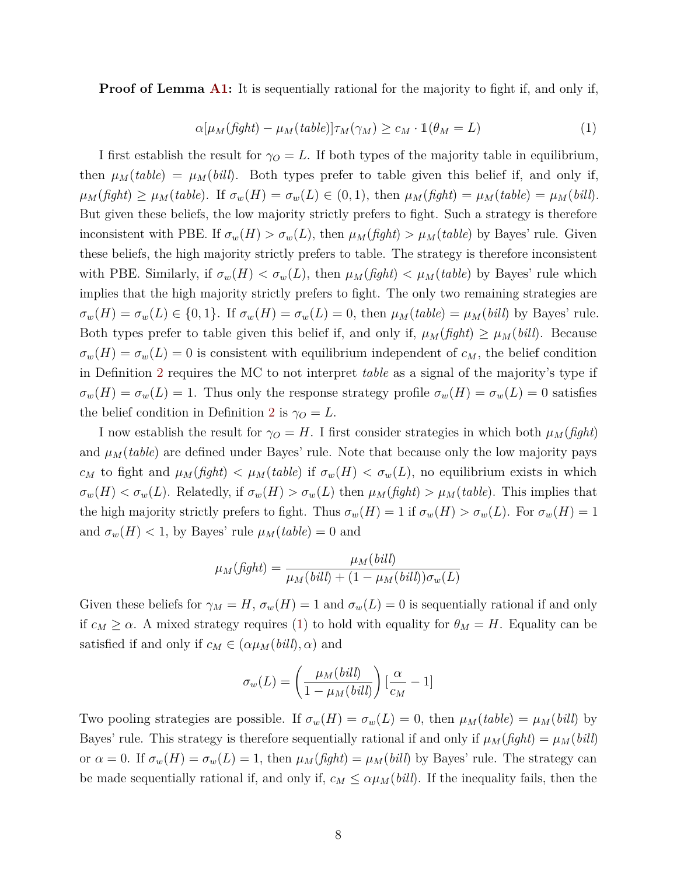**Proof of Lemma [A1:](#page-6-2)** It is sequentially rational for the majority to fight if, and only if,

<span id="page-8-0"></span>
$$
\alpha[\mu_M(fight) - \mu_M(table)]\tau_M(\gamma_M) \ge c_M \cdot \mathbb{1}(\theta_M = L)
$$
\n(1)

I first establish the result for  $\gamma_O = L$ . If both types of the majority table in equilibrium, then  $\mu_M(table) = \mu_M(bill)$ . Both types prefer to table given this belief if, and only if,  $\mu_M(fight) \geq \mu_M(table)$ . If  $\sigma_w(H) = \sigma_w(L) \in (0,1)$ , then  $\mu_M(fight) = \mu_M(table) = \mu_M(bil)$ . But given these beliefs, the low majority strictly prefers to fight. Such a strategy is therefore inconsistent with PBE. If  $\sigma_w(H) > \sigma_w(L)$ , then  $\mu_M(fight) > \mu_M(table)$  by Bayes' rule. Given these beliefs, the high majority strictly prefers to table. The strategy is therefore inconsistent with PBE. Similarly, if  $\sigma_w(H) < \sigma_w(L)$ , then  $\mu_M(fight) < \mu_M(table)$  by Bayes' rule which implies that the high majority strictly prefers to fight. The only two remaining strategies are  $\sigma_w(H) = \sigma_w(L) \in \{0, 1\}$ . If  $\sigma_w(H) = \sigma_w(L) = 0$ , then  $\mu_M(table) = \mu_M(bill)$  by Bayes' rule. Both types prefer to table given this belief if, and only if,  $\mu_M(fight) \geq \mu_M(bill)$ . Because  $\sigma_w(H) = \sigma_w(L) = 0$  is consistent with equilibrium independent of  $c_M$ , the belief condition in Definition [2](#page-3-1) requires the MC to not interpret *table* as a signal of the majority's type if  $\sigma_w(H) = \sigma_w(L) = 1$ . Thus only the response strategy profile  $\sigma_w(H) = \sigma_w(L) = 0$  satisfies the belief condition in Definition [2](#page-3-1) is  $\gamma_O = L$ .

I now establish the result for  $\gamma_O = H$ . I first consider strategies in which both  $\mu_M(fight)$ and  $\mu_M(table)$  are defined under Bayes' rule. Note that because only the low majority pays *c<sub>M</sub>* to fight and  $\mu_M(fight) < \mu_M(table)$  if  $\sigma_w(H) < \sigma_w(L)$ , no equilibrium exists in which  $\sigma_w(H) < \sigma_w(L)$ . Relatedly, if  $\sigma_w(H) > \sigma_w(L)$  then  $\mu_M(fight) > \mu_M(table)$ . This implies that the high majority strictly prefers to fight. Thus  $\sigma_w(H) = 1$  if  $\sigma_w(H) > \sigma_w(L)$ . For  $\sigma_w(H) = 1$ and  $\sigma_w(H) < 1$ , by Bayes' rule  $\mu_M(table) = 0$  and

$$
\mu_M(fight) = \frac{\mu_M(bill)}{\mu_M(bill) + (1 - \mu_M(bill))\sigma_w(L)}
$$

Given these beliefs for  $\gamma_M = H$ ,  $\sigma_w(H) = 1$  and  $\sigma_w(L) = 0$  is sequentially rational if and only if  $c_M \geq \alpha$ . A mixed strategy requires [\(1\)](#page-8-0) to hold with equality for  $\theta_M = H$ . Equality can be satisfied if and only if  $c_M \in (\alpha \mu_M(bill), \alpha)$  and

$$
\sigma_w(L) = \left(\frac{\mu_M(bill)}{1 - \mu_M(bill)}\right) \left[\frac{\alpha}{c_M} - 1\right]
$$

Two pooling strategies are possible. If  $\sigma_w(H) = \sigma_w(L) = 0$ , then  $\mu_M(table) = \mu_M(bill)$  by Bayes' rule. This strategy is therefore sequentially rational if and only if  $\mu_M(fight) = \mu_M(bill)$ or  $\alpha = 0$ . If  $\sigma_w(H) = \sigma_w(L) = 1$ , then  $\mu_M(fight) = \mu_M(bill)$  by Bayes' rule. The strategy can be made sequentially rational if, and only if,  $c_M \leq \alpha \mu_M(bill)$ . If the inequality fails, then the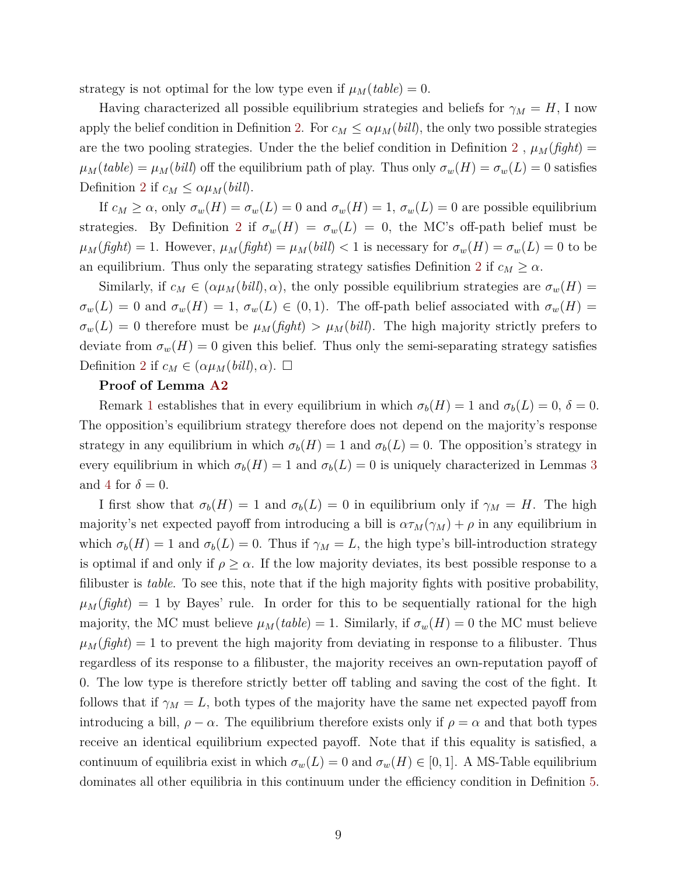strategy is not optimal for the low type even if  $\mu_M(table) = 0$ .

Having characterized all possible equilibrium strategies and beliefs for  $\gamma_M = H$ , I now apply the belief condition in Definition [2.](#page-3-1) For  $c_M \leq \alpha \mu_M (bill)$ , the only two possible strategies are the two pooling strategies. Under the the belief condition in Definition [2](#page-3-1),  $\mu_M(fight)$  =  $\mu_M(table) = \mu_M(bill)$  off the equilibrium path of play. Thus only  $\sigma_w(H) = \sigma_w(L) = 0$  satisfies Definition [2](#page-3-1) if  $c_M \leq \alpha \mu_M(bill)$ .

If  $c_M \geq \alpha$ , only  $\sigma_w(H) = \sigma_w(L) = 0$  and  $\sigma_w(H) = 1$ ,  $\sigma_w(L) = 0$  are possible equilibrium strategies. By Definition [2](#page-3-1) if  $\sigma_w(H) = \sigma_w(L) = 0$ , the MC's off-path belief must be  $\mu_M(fight) = 1$ . However,  $\mu_M(fight) = \mu_M(bill) < 1$  is necessary for  $\sigma_w(H) = \sigma_w(L) = 0$  to be an equilibrium. Thus only the separating strategy satisfies Definition [2](#page-3-1) if  $c_M \geq \alpha$ .

Similarly, if  $c_M \in (\alpha \mu_M (bill), \alpha)$ , the only possible equilibrium strategies are  $\sigma_w(H)$  $\sigma_w(L) = 0$  and  $\sigma_w(H) = 1$ ,  $\sigma_w(L) \in (0,1)$ . The off-path belief associated with  $\sigma_w(H) =$  $\sigma_w(L) = 0$  therefore must be  $\mu_M(fight) > \mu_M(bill)$ . The high majority strictly prefers to deviate from  $\sigma_w(H) = 0$  given this belief. Thus only the semi-separating strategy satisfies Definition [2](#page-3-1) if  $c_M \in (\alpha \mu_M(bill), \alpha)$ .  $\square$ 

### **Proof of Lemma [A2](#page-7-2)**

Remark [1](#page-7-0) establishes that in every equilibrium in which  $\sigma_b(H) = 1$  and  $\sigma_b(L) = 0$ ,  $\delta = 0$ . The opposition's equilibrium strategy therefore does not depend on the majority's response strategy in any equilibrium in which  $\sigma_b(H) = 1$  and  $\sigma_b(L) = 0$ . The opposition's strategy in every equilibrium in which  $\sigma_b(H) = 1$  and  $\sigma_b(L) = 0$  is uniquely characterized in Lemmas [3](#page-14-2) and [4](#page-16-0) for  $\delta = 0$ .

I first show that  $\sigma_b(H) = 1$  and  $\sigma_b(L) = 0$  in equilibrium only if  $\gamma_M = H$ . The high majority's net expected payoff from introducing a bill is  $\alpha \tau_M(\gamma_M) + \rho$  in any equilibrium in which  $\sigma_b(H) = 1$  and  $\sigma_b(L) = 0$ . Thus if  $\gamma_M = L$ , the high type's bill-introduction strategy is optimal if and only if  $\rho \geq \alpha$ . If the low majority deviates, its best possible response to a filibuster is *table*. To see this, note that if the high majority fights with positive probability,  $\mu_M(fight) = 1$  by Bayes' rule. In order for this to be sequentially rational for the high majority, the MC must believe  $\mu_M(table) = 1$ . Similarly, if  $\sigma_w(H) = 0$  the MC must believe  $\mu_M(fight) = 1$  to prevent the high majority from deviating in response to a filibuster. Thus regardless of its response to a filibuster, the majority receives an own-reputation payoff of 0. The low type is therefore strictly better off tabling and saving the cost of the fight. It follows that if  $\gamma_M = L$ , both types of the majority have the same net expected payoff from introducing a bill,  $\rho - \alpha$ . The equilibrium therefore exists only if  $\rho = \alpha$  and that both types receive an identical equilibrium expected payoff. Note that if this equality is satisfied, a continuum of equilibria exist in which  $\sigma_w(L) = 0$  and  $\sigma_w(H) \in [0,1]$ . A MS-Table equilibrium dominates all other equilibria in this continuum under the efficiency condition in Definition [5.](#page-6-3)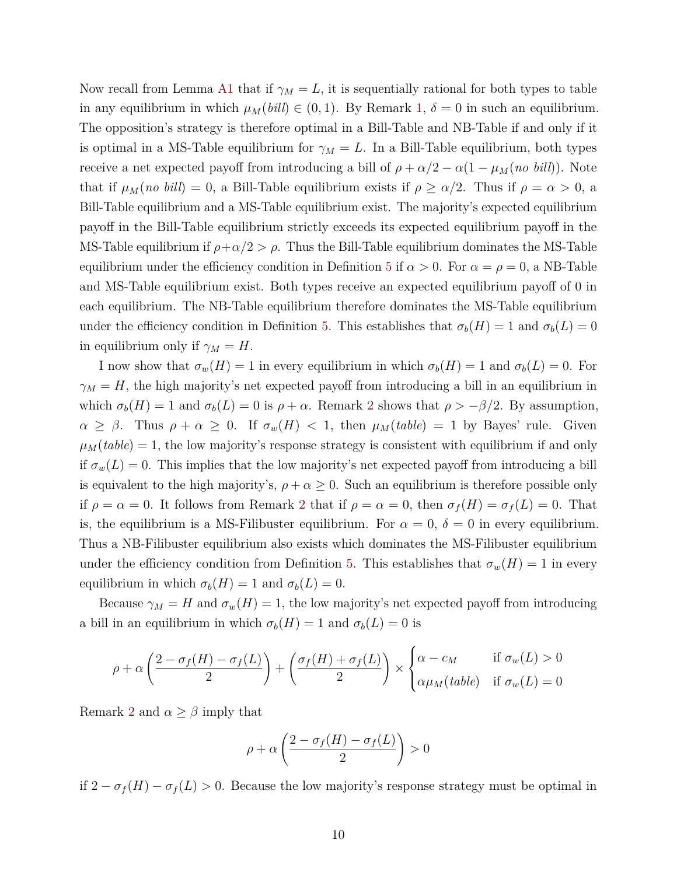Now recall from Lemma [A1](#page-6-2) that if  $\gamma_M = L$ , it is sequentially rational for both types to table in any equilibrium in which  $\mu_M(bill) \in (0,1)$ . By Remark [1,](#page-7-0)  $\delta = 0$  in such an equilibrium. The opposition's strategy is therefore optimal in a Bill-Table and NB-Table if and only if it is optimal in a MS-Table equilibrium for  $\gamma_M = L$ . In a Bill-Table equilibrium, both types receive a net expected payoff from introducing a bill of  $\rho + \alpha/2 - \alpha(1 - \mu_M(n \text{ o bill}))$ . Note that if  $\mu_M(no\; bill) = 0$ , a Bill-Table equilibrium exists if  $\rho \ge \alpha/2$ . Thus if  $\rho = \alpha > 0$ , a Bill-Table equilibrium and a MS-Table equilibrium exist. The majority's expected equilibrium payoff in the Bill-Table equilibrium strictly exceeds its expected equilibrium payoff in the MS-Table equilibrium if  $\rho + \alpha/2 > \rho$ . Thus the Bill-Table equilibrium dominates the MS-Table equilibrium under the efficiency condition in Definition [5](#page-6-3) if  $\alpha > 0$ . For  $\alpha = \rho = 0$ , a NB-Table and MS-Table equilibrium exist. Both types receive an expected equilibrium payoff of 0 in each equilibrium. The NB-Table equilibrium therefore dominates the MS-Table equilibrium under the efficiency condition in Definition [5.](#page-6-3) This establishes that  $\sigma_b(H) = 1$  and  $\sigma_b(L) = 0$ in equilibrium only if  $\gamma_M = H$ .

I now show that  $\sigma_w(H) = 1$  in every equilibrium in which  $\sigma_b(H) = 1$  and  $\sigma_b(L) = 0$ . For  $\gamma_M = H$ , the high majority's net expected payoff from introducing a bill in an equilibrium in which  $\sigma_b(H) = 1$  and  $\sigma_b(L) = 0$  is  $\rho + \alpha$ . Remark [2](#page-7-1) shows that  $\rho > -\beta/2$ . By assumption,  $\alpha \geq \beta$ . Thus  $\rho + \alpha \geq 0$ . If  $\sigma_w(H) < 1$ , then  $\mu_M(table) = 1$  by Bayes' rule. Given  $\mu_M(table) = 1$ , the low majority's response strategy is consistent with equilibrium if and only if  $\sigma_w(L) = 0$ . This implies that the low majority's net expected payoff from introducing a bill is equivalent to the high majority's,  $\rho + \alpha \geq 0$ . Such an equilibrium is therefore possible only if  $\rho = \alpha = 0$ . It follows from Remark [2](#page-7-1) that if  $\rho = \alpha = 0$ , then  $\sigma_f(H) = \sigma_f(L) = 0$ . That is, the equilibrium is a MS-Filibuster equilibrium. For  $\alpha = 0$ ,  $\delta = 0$  in every equilibrium. Thus a NB-Filibuster equilibrium also exists which dominates the MS-Filibuster equilibrium under the efficiency condition from Definition [5.](#page-6-3) This establishes that  $\sigma_w(H) = 1$  in every equilibrium in which  $\sigma_b(H) = 1$  and  $\sigma_b(L) = 0$ .

Because  $\gamma_M = H$  and  $\sigma_w(H) = 1$ , the low majority's net expected payoff from introducing a bill in an equilibrium in which  $\sigma_b(H) = 1$  and  $\sigma_b(L) = 0$  is

$$
\rho + \alpha \left( \frac{2 - \sigma_f(H) - \sigma_f(L)}{2} \right) + \left( \frac{\sigma_f(H) + \sigma_f(L)}{2} \right) \times \begin{cases} \alpha - c_M & \text{if } \sigma_w(L) > 0 \\ \alpha \mu_M(table) & \text{if } \sigma_w(L) = 0 \end{cases}
$$

Remark [2](#page-7-1) and  $\alpha \geq \beta$  imply that

$$
\rho + \alpha \left( \frac{2 - \sigma_f(H) - \sigma_f(L)}{2} \right) > 0
$$

if  $2 - \sigma_f(H) - \sigma_f(L) > 0$ . Because the low majority's response strategy must be optimal in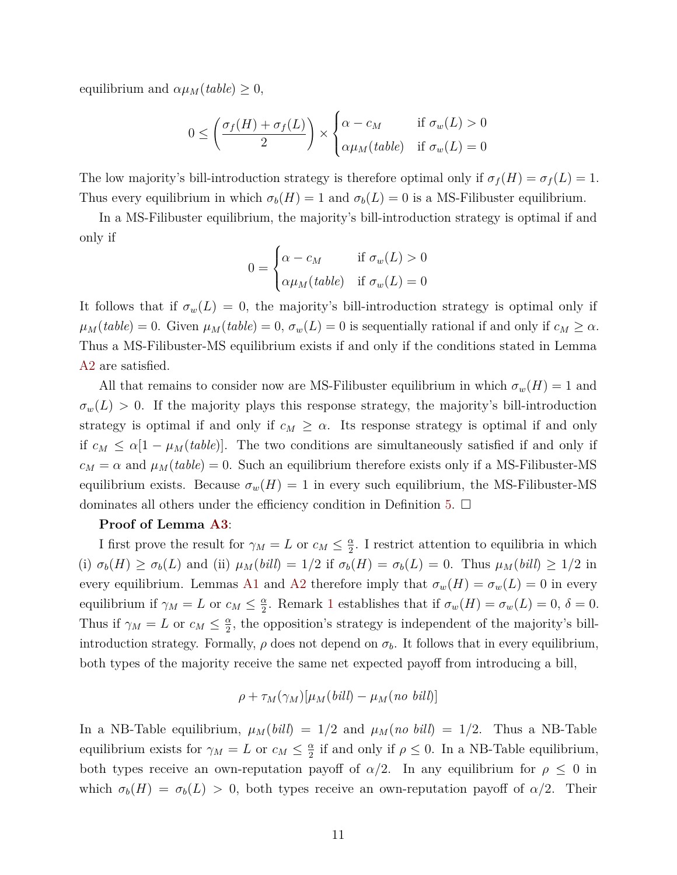equilibrium and  $\alpha \mu_M(table) \geq 0$ ,

$$
0 \leq \left(\frac{\sigma_f(H) + \sigma_f(L)}{2}\right) \times \begin{cases} \alpha - c_M & \text{if } \sigma_w(L) > 0\\ \alpha \mu_M(table) & \text{if } \sigma_w(L) = 0 \end{cases}
$$

The low majority's bill-introduction strategy is therefore optimal only if  $\sigma_f(H) = \sigma_f(L) = 1$ . Thus every equilibrium in which  $\sigma_b(H) = 1$  and  $\sigma_b(L) = 0$  is a MS-Filibuster equilibrium.

In a MS-Filibuster equilibrium, the majority's bill-introduction strategy is optimal if and only if

$$
0 = \begin{cases} \alpha - c_M & \text{if } \sigma_w(L) > 0 \\ \alpha \mu_M(table) & \text{if } \sigma_w(L) = 0 \end{cases}
$$

It follows that if  $\sigma_w(L) = 0$ , the majority's bill-introduction strategy is optimal only if  $\mu_M(table) = 0$ . Given  $\mu_M(table) = 0$ ,  $\sigma_w(L) = 0$  is sequentially rational if and only if  $c_M \geq \alpha$ . Thus a MS-Filibuster-MS equilibrium exists if and only if the conditions stated in Lemma [A2](#page-7-2) are satisfied.

All that remains to consider now are MS-Filibuster equilibrium in which  $\sigma_w(H) = 1$  and  $\sigma_w(L) > 0$ . If the majority plays this response strategy, the majority's bill-introduction strategy is optimal if and only if  $c_M \geq \alpha$ . Its response strategy is optimal if and only if  $c_M \leq \alpha[1-\mu_M(table)]$ . The two conditions are simultaneously satisfied if and only if  $c_M = \alpha$  and  $\mu_M(table) = 0$ . Such an equilibrium therefore exists only if a MS-Filibuster-MS equilibrium exists. Because  $\sigma_w(H) = 1$  in every such equilibrium, the MS-Filibuster-MS dominates all others under the efficiency condition in Definition [5.](#page-6-3)  $\Box$ 

#### **Proof of Lemma [A3](#page-7-3)**:

I first prove the result for  $\gamma_M = L$  or  $c_M \leq \frac{\alpha}{2}$  $\frac{\alpha}{2}$ . I restrict attention to equilibria in which (i)  $\sigma_b(H) \ge \sigma_b(L)$  and (ii)  $\mu_M(bill) = 1/2$  if  $\sigma_b(H) = \sigma_b(L) = 0$ . Thus  $\mu_M(bill) \ge 1/2$  in every equilibrium. Lemmas [A1](#page-6-2) and [A2](#page-7-2) therefore imply that  $\sigma_w(H) = \sigma_w(L) = 0$  in every equilibrium if  $\gamma_M = L$  or  $c_M \leq \frac{\alpha}{2}$  $\frac{\alpha}{2}$ . Remark [1](#page-7-0) establishes that if  $\sigma_w(H) = \sigma_w(L) = 0, \ \delta = 0.$ Thus if  $\gamma_M = L$  or  $c_M \leq \frac{\alpha}{2}$  $\frac{\alpha}{2}$ , the opposition's strategy is independent of the majority's billintroduction strategy. Formally,  $\rho$  does not depend on  $\sigma_b$ . It follows that in every equilibrium, both types of the majority receive the same net expected payoff from introducing a bill,

$$
\rho + \tau_M(\gamma_M)[\mu_M(bill) - \mu_M(no\; \, bill)]
$$

In a NB-Table equilibrium,  $\mu_M(bil) = 1/2$  and  $\mu_M(no \; bil) = 1/2$ . Thus a NB-Table equilibrium exists for  $\gamma_M = L$  or  $c_M \leq \frac{\alpha}{2}$  $\frac{\alpha}{2}$  if and only if  $\rho \leq 0$ . In a NB-Table equilibrium, both types receive an own-reputation payoff of  $\alpha/2$ . In any equilibrium for  $\rho \leq 0$  in which  $\sigma_b(H) = \sigma_b(L) > 0$ , both types receive an own-reputation payoff of  $\alpha/2$ . Their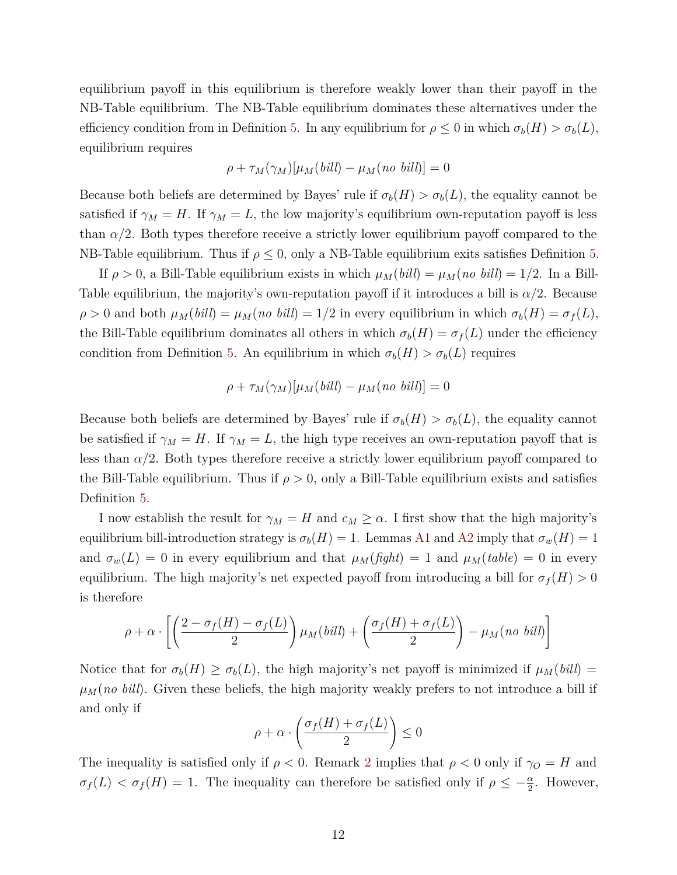equilibrium payoff in this equilibrium is therefore weakly lower than their payoff in the NB-Table equilibrium. The NB-Table equilibrium dominates these alternatives under the efficiency condition from in Definition [5.](#page-6-3) In any equilibrium for  $\rho \leq 0$  in which  $\sigma_b(H) > \sigma_b(L)$ , equilibrium requires

$$
\rho + \tau_M(\gamma_M)[\mu_M(bill) - \mu_M(no\; bill)] = 0
$$

Because both beliefs are determined by Bayes' rule if  $\sigma_b(H) > \sigma_b(L)$ , the equality cannot be satisfied if  $\gamma_M = H$ . If  $\gamma_M = L$ , the low majority's equilibrium own-reputation payoff is less than  $\alpha/2$ . Both types therefore receive a strictly lower equilibrium payoff compared to the NB-Table equilibrium. Thus if  $\rho \leq 0$ , only a NB-Table equilibrium exits satisfies Definition [5.](#page-6-3)

If  $\rho > 0$ , a Bill-Table equilibrium exists in which  $\mu_M(bill) = \mu_M(no \; bill) = 1/2$ . In a Bill-Table equilibrium, the majority's own-reputation payoff if it introduces a bill is  $\alpha/2$ . Because  $\rho > 0$  and both  $\mu_M(bill) = \mu_M(n \text{ of } bil) = 1/2$  in every equilibrium in which  $\sigma_b(H) = \sigma_f(L)$ , the Bill-Table equilibrium dominates all others in which  $\sigma_b(H) = \sigma_f(L)$  under the efficiency condition from Definition [5.](#page-6-3) An equilibrium in which  $\sigma_b(H) > \sigma_b(L)$  requires

$$
\rho + \tau_M(\gamma_M)[\mu_M(bill) - \mu_M(no\; \, bill)] = 0
$$

Because both beliefs are determined by Bayes' rule if  $\sigma_b(H) > \sigma_b(L)$ , the equality cannot be satisfied if  $\gamma_M = H$ . If  $\gamma_M = L$ , the high type receives an own-reputation payoff that is less than  $\alpha/2$ . Both types therefore receive a strictly lower equilibrium payoff compared to the Bill-Table equilibrium. Thus if  $\rho > 0$ , only a Bill-Table equilibrium exists and satisfies Definition [5.](#page-6-3)

I now establish the result for  $\gamma_M = H$  and  $c_M \geq \alpha$ . I first show that the high majority's equilibrium bill-introduction strategy is  $\sigma_b(H) = 1$ . Lemmas [A1](#page-6-2) and [A2](#page-7-2) imply that  $\sigma_w(H) = 1$ and  $\sigma_w(L) = 0$  in every equilibrium and that  $\mu_M(fight) = 1$  and  $\mu_M(table) = 0$  in every equilibrium. The high majority's net expected payoff from introducing a bill for  $\sigma_f(H) > 0$ is therefore

$$
\rho+\alpha\cdot\left[\left(\frac{2-\sigma_f(H)-\sigma_f(L)}{2}\right)\mu_M(bill)+\left(\frac{\sigma_f(H)+\sigma_f(L)}{2}\right)-\mu_M(no\;bill)\right]
$$

Notice that for  $\sigma_b(H) \geq \sigma_b(L)$ , the high majority's net payoff is minimized if  $\mu_M(bill)$  $\mu_M$ (*no bill*). Given these beliefs, the high majority weakly prefers to not introduce a bill if and only if

$$
\rho + \alpha \cdot \left( \frac{\sigma_f(H) + \sigma_f(L)}{2} \right) \le 0
$$

The inequality is satisfied only if  $\rho < 0$ . Remark [2](#page-7-1) implies that  $\rho < 0$  only if  $\gamma_O = H$  and  $\sigma_f(L) < \sigma_f(H) = 1$ . The inequality can therefore be satisfied only if  $\rho \leq -\frac{\alpha}{2}$ . However,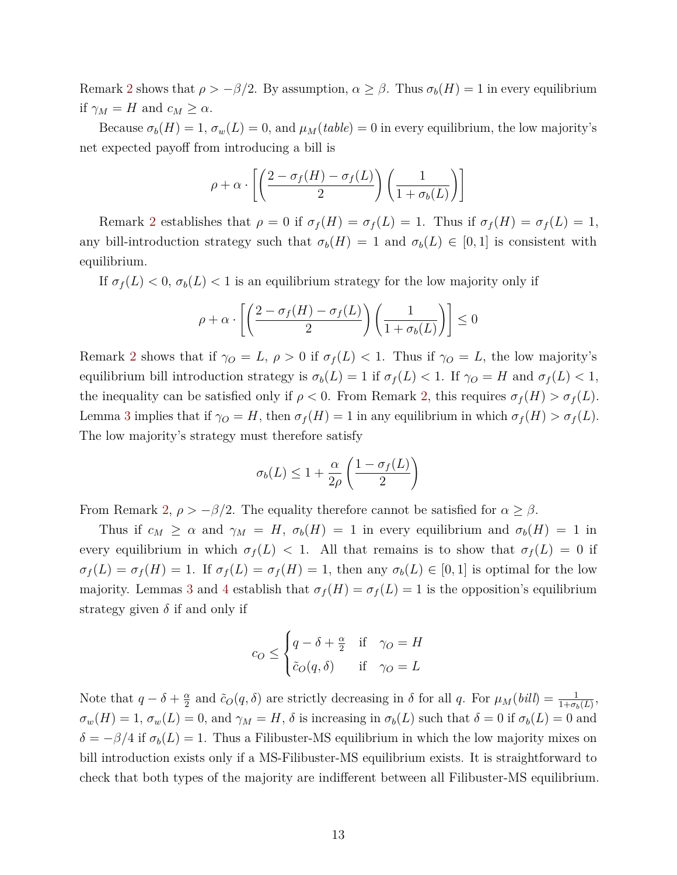Remark [2](#page-7-1) shows that  $\rho > -\beta/2$ . By assumption,  $\alpha \geq \beta$ . Thus  $\sigma_b(H) = 1$  in every equilibrium if  $\gamma_M = H$  and  $c_M \geq \alpha$ .

Because  $\sigma_b(H) = 1$ ,  $\sigma_w(L) = 0$ , and  $\mu_M(table) = 0$  in every equilibrium, the low majority's net expected payoff from introducing a bill is

$$
\rho + \alpha \cdot \left[ \left( \frac{2 - \sigma_f(H) - \sigma_f(L)}{2} \right) \left( \frac{1}{1 + \sigma_b(L)} \right) \right]
$$

Remark [2](#page-7-1) establishes that  $\rho = 0$  if  $\sigma_f(H) = \sigma_f(L) = 1$ . Thus if  $\sigma_f(H) = \sigma_f(L) = 1$ , any bill-introduction strategy such that  $\sigma_b(H) = 1$  and  $\sigma_b(L) \in [0,1]$  is consistent with equilibrium.

If  $\sigma_f(L) < 0$ ,  $\sigma_b(L) < 1$  is an equilibrium strategy for the low majority only if

$$
\rho + \alpha \cdot \left[ \left( \frac{2 - \sigma_f(H) - \sigma_f(L)}{2} \right) \left( \frac{1}{1 + \sigma_b(L)} \right) \right] \le 0
$$

Remark [2](#page-7-1) shows that if  $\gamma_O = L$ ,  $\rho > 0$  if  $\sigma_f(L) < 1$ . Thus if  $\gamma_O = L$ , the low majority's equilibrium bill introduction strategy is  $\sigma_b(L) = 1$  if  $\sigma_f(L) < 1$ . If  $\gamma_O = H$  and  $\sigma_f(L) < 1$ , the inequality can be satisfied only if  $\rho < 0$ . From Remark [2,](#page-7-1) this requires  $\sigma_f(H) > \sigma_f(L)$ . Lemma [3](#page-14-2) implies that if  $\gamma_O = H$ , then  $\sigma_f(H) = 1$  in any equilibrium in which  $\sigma_f(H) > \sigma_f(L)$ . The low majority's strategy must therefore satisfy

$$
\sigma_b(L) \le 1 + \frac{\alpha}{2\rho} \left( \frac{1 - \sigma_f(L)}{2} \right)
$$

From Remark [2,](#page-7-1)  $\rho > -\beta/2$ . The equality therefore cannot be satisfied for  $\alpha \geq \beta$ .

Thus if  $c_M \ge \alpha$  and  $\gamma_M = H$ ,  $\sigma_b(H) = 1$  in every equilibrium and  $\sigma_b(H) = 1$  in every equilibrium in which  $\sigma_f(L) < 1$ . All that remains is to show that  $\sigma_f(L) = 0$  if  $\sigma_f(L) = \sigma_f(H) = 1$ . If  $\sigma_f(L) = \sigma_f(H) = 1$ , then any  $\sigma_b(L) \in [0,1]$  is optimal for the low majority. Lemmas [3](#page-14-2) and [4](#page-16-0) establish that  $\sigma_f(H) = \sigma_f(L) = 1$  is the opposition's equilibrium strategy given  $\delta$  if and only if

$$
c_O \le \begin{cases} q - \delta + \frac{\alpha}{2} & \text{if } \gamma_O = H \\ \tilde{c}_O(q, \delta) & \text{if } \gamma_O = L \end{cases}
$$

Note that  $q - \delta + \frac{\alpha}{2}$  $\frac{\alpha}{2}$  and  $\tilde{c}_O(q, \delta)$  are strictly decreasing in  $\delta$  for all *q*. For  $\mu_M(bill) = \frac{1}{1+\sigma_b(L)}$ ,  $\sigma_w(H) = 1$ ,  $\sigma_w(L) = 0$ , and  $\gamma_M = H$ ,  $\delta$  is increasing in  $\sigma_b(L)$  such that  $\delta = 0$  if  $\sigma_b(L) = 0$  and  $\delta = -\beta/4$  if  $\sigma_b(L) = 1$ . Thus a Filibuster-MS equilibrium in which the low majority mixes on bill introduction exists only if a MS-Filibuster-MS equilibrium exists. It is straightforward to check that both types of the majority are indifferent between all Filibuster-MS equilibrium.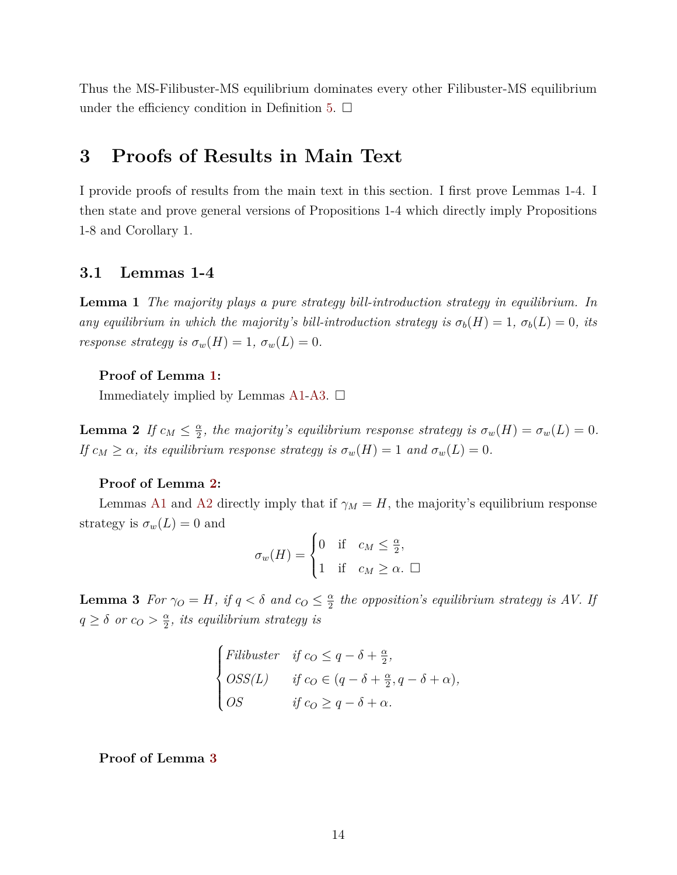Thus the MS-Filibuster-MS equilibrium dominates every other Filibuster-MS equilibrium under the efficiency condition in Definition [5.](#page-6-3)  $\Box$ 

# <span id="page-14-0"></span>**3 Proofs of Results in Main Text**

I provide proofs of results from the main text in this section. I first prove Lemmas 1-4. I then state and prove general versions of Propositions 1-4 which directly imply Propositions 1-8 and Corollary 1.

# <span id="page-14-1"></span>**3.1 Lemmas 1-4**

<span id="page-14-3"></span>**Lemma 1** *The majority plays a pure strategy bill-introduction strategy in equilibrium. In any equilibrium in which the majority's bill-introduction strategy is*  $\sigma_b(H) = 1$ ,  $\sigma_b(L) = 0$ , its *response strategy is*  $\sigma_w(H) = 1$ ,  $\sigma_w(L) = 0$ .

### **Proof of Lemma [1:](#page-14-3)**

Immediately implied by Lemmas [A1-](#page-6-2)[A3.](#page-7-3)  $\Box$ 

<span id="page-14-4"></span>**Lemma 2** *If*  $c_M \leq \frac{\alpha}{2}$  $\frac{\alpha}{2}$ , the majority's equilibrium response strategy is  $\sigma_w(H) = \sigma_w(L) = 0$ . *If*  $c_M \geq \alpha$ , its equilibrium response strategy is  $\sigma_w(H) = 1$  and  $\sigma_w(L) = 0$ .

### **Proof of Lemma [2:](#page-14-4)**

Lemmas [A1](#page-6-2) and [A2](#page-7-2) directly imply that if  $\gamma_M = H$ , the majority's equilibrium response strategy is  $\sigma_w(L) = 0$  and  $\overline{ }$ 

$$
\sigma_w(H) = \begin{cases} 0 & \text{if } c_M \leq \frac{\alpha}{2}, \\ 1 & \text{if } c_M \geq \alpha. \end{cases}
$$

<span id="page-14-2"></span>**Lemma 3** *For*  $\gamma_O = H$ *, if*  $q < \delta$  *and*  $c_O \leq \frac{\alpha}{2}$  $\frac{\alpha}{2}$  the opposition's equilibrium strategy is AV. If  $q \geq \delta$  *or*  $c_O > \frac{\alpha}{2}$  $\frac{\alpha}{2}$ *, its equilibrium strategy is* 

$$
\begin{cases}\nFilibuster & \text{if } c_O \le q - \delta + \frac{\alpha}{2}, \\
OSS(L) & \text{if } c_O \in (q - \delta + \frac{\alpha}{2}, q - \delta + \alpha), \\
OS & \text{if } c_O \ge q - \delta + \alpha.\n\end{cases}
$$

**Proof of Lemma [3](#page-14-2)**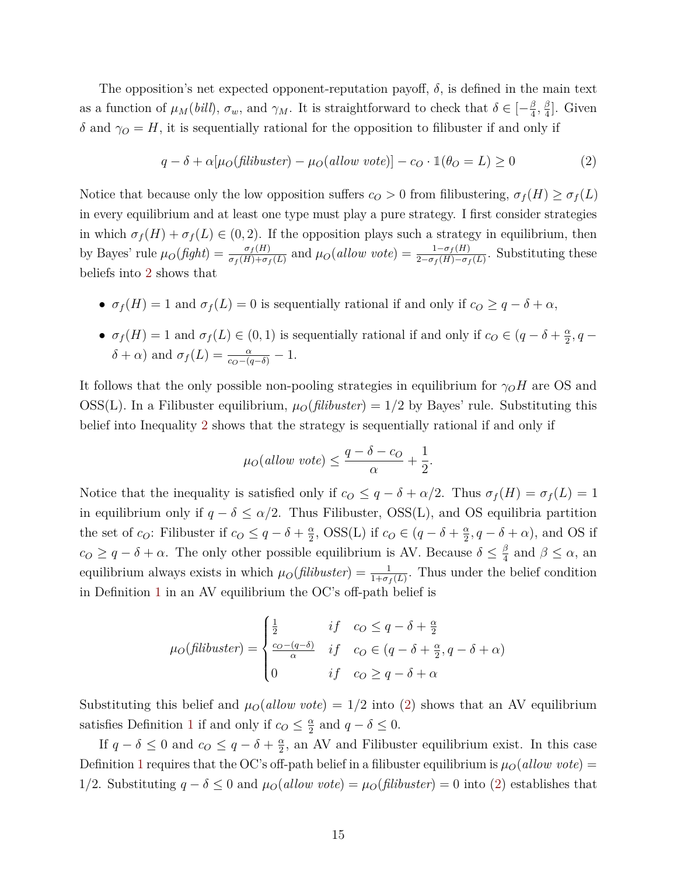The opposition's net expected opponent-reputation payoff,  $\delta$ , is defined in the main text as a function of  $\mu_M(bill)$ ,  $\sigma_w$ , and  $\gamma_M$ . It is straightforward to check that  $\delta \in \left[-\frac{\beta}{4}\right]$  $\frac{\beta}{4}, \frac{\beta}{4}$  $\frac{\beta}{4}$ . Given *δ* and  $γ$ *O* = *H*, it is sequentially rational for the opposition to filibuster if and only if

<span id="page-15-0"></span>
$$
q - \delta + \alpha[\mu_O(\text{filibuster}) - \mu_O(\text{allow vote})] - c_O \cdot \mathbb{1}(\theta_O = L) \ge 0
$$
 (2)

Notice that because only the low opposition suffers  $c<sub>O</sub> > 0$  from filibustering,  $\sigma_f(H) \geq \sigma_f(L)$ in every equilibrium and at least one type must play a pure strategy. I first consider strategies in which  $\sigma_f(H) + \sigma_f(L) \in (0, 2)$ . If the opposition plays such a strategy in equilibrium, then by Bayes' rule  $\mu_O(fight) = \frac{\sigma_f(H)}{\sigma_f(H) + \sigma_f(L)}$  and  $\mu_O(allow\ vote) = \frac{1 - \sigma_f(H)}{2 - \sigma_f(H) - \sigma_f(L)}$ . Substituting these beliefs into [2](#page-15-0) shows that

- $\sigma_f(H) = 1$  and  $\sigma_f(L) = 0$  is sequentially rational if and only if  $c_o \geq q \delta + \alpha$ ,
- $\sigma_f(H) = 1$  and  $\sigma_f(L) \in (0,1)$  is sequentially rational if and only if  $c_O \in (q \delta + \frac{\alpha}{2})$  $\frac{\alpha}{2}$ , q –  $\delta + \alpha$ ) and  $\sigma_f(L) = \frac{\alpha}{c_O - (q - \delta)} - 1$ .

It follows that the only possible non-pooling strategies in equilibrium for  $\gamma_O H$  are OS and OSS(L). In a Filibuster equilibrium,  $\mu_O(flibuster) = 1/2$  by Bayes' rule. Substituting this belief into Inequality [2](#page-15-0) shows that the strategy is sequentially rational if and only if

$$
\mu_O(allow\;vote) \le \frac{q-\delta - c_O}{\alpha} + \frac{1}{2}.
$$

Notice that the inequality is satisfied only if  $c<sub>O</sub> \leq q - \delta + \alpha/2$ . Thus  $\sigma_f(H) = \sigma_f(L) = 1$ in equilibrium only if  $q - \delta \leq \alpha/2$ . Thus Filibuster, OSS(L), and OS equilibria partition the set of *c*<sub>*O*</sub>: Filibuster if  $c_0 \leq q - \delta + \frac{\alpha}{2}$  $\frac{\alpha}{2}$ , OSS(L) if  $c_O \in (q - \delta + \frac{\alpha}{2})$  $\frac{\alpha}{2}$ ,  $q - \delta + \alpha$ ), and OS if  $c$ <sup>*O*</sup> ≥ *q* − *δ* + *α*. The only other possible equilibrium is AV. Because  $\delta \leq \frac{\beta}{4}$  $\frac{\beta}{4}$  and  $\beta \leq \alpha$ , an equilibrium always exists in which  $\mu_O(\text{filibuster}) = \frac{1}{1+\sigma_f(L)}$ . Thus under the belief condition in Definition [1](#page-3-0) in an AV equilibrium the OC's off-path belief is

$$
\mu_O(\text{filibuster}) = \begin{cases} \frac{1}{2} & \text{if } c_O \le q - \delta + \frac{\alpha}{2} \\ \frac{c_O - (q - \delta)}{\alpha} & \text{if } c_O \in (q - \delta + \frac{\alpha}{2}, q - \delta + \alpha) \\ 0 & \text{if } c_O \ge q - \delta + \alpha \end{cases}
$$

Substituting this belief and  $\mu_0$ (*allow vote*) = 1/2 into [\(2\)](#page-15-0) shows that an AV equilibrium satisfies Definition [1](#page-3-0) if and only if  $c_0 \leq \frac{\alpha}{2}$  $\frac{\alpha}{2}$  and  $q - \delta \leq 0$ .

If  $q - \delta \leq 0$  and  $c_0 \leq q - \delta + \frac{\alpha}{2}$  $\frac{\alpha}{2}$ , an AV and Filibuster equilibrium exist. In this case Definition [1](#page-3-0) requires that the OC's off-path belief in a filibuster equilibrium is  $\mu_O(allow\ vote)$  = 1/2. Substituting  $q - \delta \leq 0$  and  $\mu_O(allow \, vote) = \mu_O(filibuster) = 0$  into [\(2\)](#page-15-0) establishes that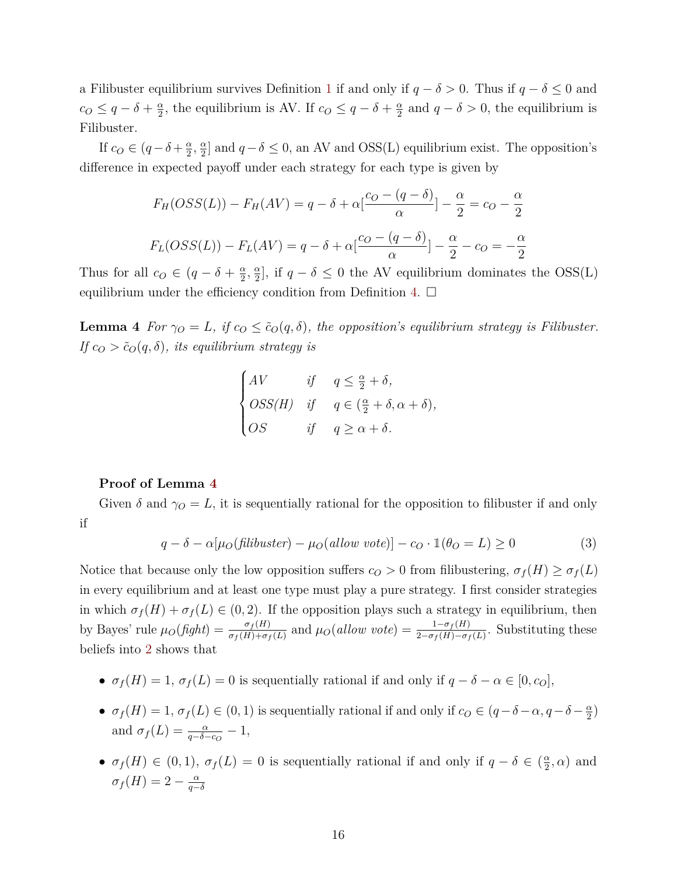a Filibuster equilibrium survives Definition [1](#page-3-0) if and only if  $q - \delta > 0$ . Thus if  $q - \delta \leq 0$  and  $c_O \leq q - \delta + \frac{\alpha}{2}$  $\frac{\alpha}{2}$ , the equilibrium is AV. If  $c_0 \leq q - \delta + \frac{\alpha}{2}$  $\frac{\alpha}{2}$  and  $q - \delta > 0$ , the equilibrium is Filibuster.

If  $c_O \in (q - \delta + \frac{\alpha}{2})$  $\frac{\alpha}{2}$ ,  $\frac{\alpha}{2}$  $\frac{\alpha}{2}$  and  $q - \delta \leq 0$ , an AV and OSS(L) equilibrium exist. The opposition's difference in expected payoff under each strategy for each type is given by

$$
F_H(OSS(L)) - F_H(AV) = q - \delta + \alpha \left[\frac{c_O - (q - \delta)}{\alpha}\right] - \frac{\alpha}{2} = c_O - \frac{\alpha}{2}
$$

$$
F_L(OSS(L)) - F_L(AV) = q - \delta + \alpha \left[\frac{c_O - (q - \delta)}{\alpha}\right] - \frac{\alpha}{2} - c_O = -\frac{\alpha}{2}
$$

Thus for all  $c_O \in (q - \delta + \frac{\alpha}{2})$  $\frac{\alpha}{2}$ ,  $\frac{\alpha}{2}$  $\frac{\alpha}{2}$ , if  $q - \delta \leq 0$  the AV equilibrium dominates the OSS(L) equilibrium under the efficiency condition from Definition [4.](#page-4-2)  $\Box$ 

<span id="page-16-0"></span>**Lemma 4** *For*  $\gamma_O = L$ *, if*  $c_O \leq \tilde{c}_O(q, \delta)$ *, the opposition's equilibrium strategy is Filibuster. If*  $c_O > \tilde{c}_O(q, \delta)$ *, its equilibrium strategy is* 

$$
\begin{cases}\nAV & \text{if } q \leq \frac{\alpha}{2} + \delta, \\
OSS(H) & \text{if } q \in (\frac{\alpha}{2} + \delta, \alpha + \delta), \\
OS & \text{if } q \geq \alpha + \delta.\n\end{cases}
$$

### **Proof of Lemma [4](#page-16-0)**

Given  $\delta$  and  $\gamma$ <sup>*O*</sup> = *L*, it is sequentially rational for the opposition to filibuster if and only if

<span id="page-16-1"></span>
$$
q - \delta - \alpha[\mu_O(\text{filibuster}) - \mu_O(\text{allow vote})] - c_O \cdot \mathbb{1}(\theta_O = L) \ge 0
$$
\n(3)

Notice that because only the low opposition suffers  $c<sub>O</sub> > 0$  from filibustering,  $\sigma_f(H) \geq \sigma_f(L)$ in every equilibrium and at least one type must play a pure strategy. I first consider strategies in which  $\sigma_f(H) + \sigma_f(L) \in (0, 2)$ . If the opposition plays such a strategy in equilibrium, then by Bayes' rule  $\mu_O(fight) = \frac{\sigma_f(H)}{\sigma_f(H) + \sigma_f(L)}$  and  $\mu_O(allow\ vote) = \frac{1 - \sigma_f(H)}{2 - \sigma_f(H) - \sigma_f(L)}$ . Substituting these beliefs into [2](#page-15-0) shows that

- $\sigma_f(H) = 1$ ,  $\sigma_f(L) = 0$  is sequentially rational if and only if  $q \delta \alpha \in [0, c_0]$ ,
- $\sigma_f(H) = 1$ ,  $\sigma_f(L) \in (0, 1)$  is sequentially rational if and only if  $c_O \in (q \delta \alpha, q \delta \frac{\alpha}{2})$  $\frac{\alpha}{2})$ and  $\sigma_f(L) = \frac{\alpha}{q - \delta - c_O} - 1$ ,
- $\sigma_f(H) \in (0,1)$ ,  $\sigma_f(L) = 0$  is sequentially rational if and only if  $q \delta \in (\frac{\alpha}{2})$  $\frac{\alpha}{2}, \alpha)$  and  $\sigma_f(H) = 2 - \frac{\alpha}{a}$ *q*−*δ*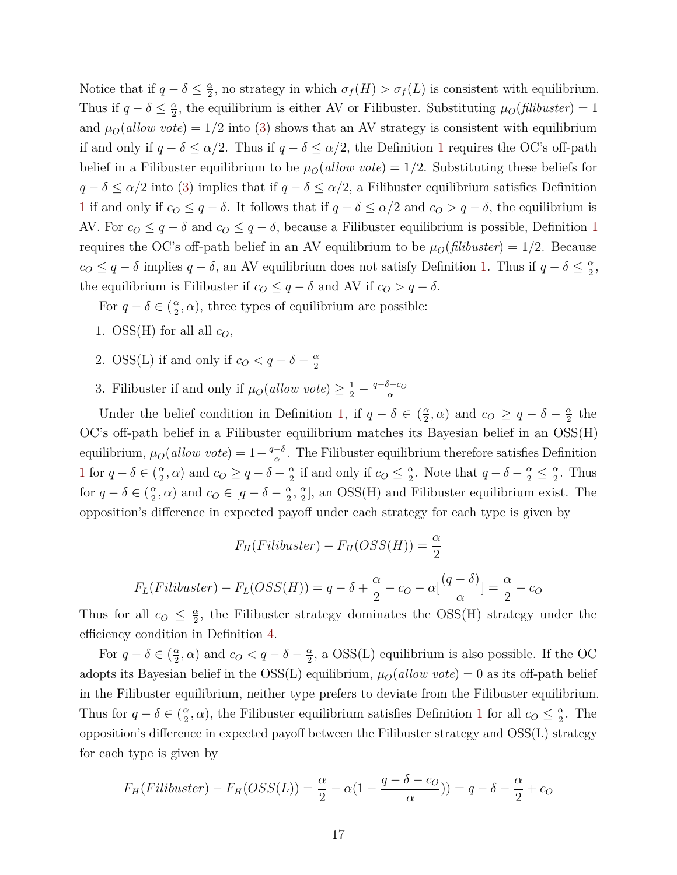Notice that if  $q - \delta \leq \frac{\alpha}{2}$  $\frac{\alpha}{2}$ , no strategy in which  $\sigma_f(H) > \sigma_f(L)$  is consistent with equilibrium. Thus if  $q - \delta \leq \frac{\alpha}{2}$  $\frac{\alpha}{2}$ , the equilibrium is either AV or Filibuster. Substituting  $\mu_O(filibuster) = 1$ and  $\mu_0(allow \, vote) = 1/2$  into [\(3\)](#page-16-1) shows that an AV strategy is consistent with equilibrium if and only if  $q - \delta \leq \alpha/2$ . Thus if  $q - \delta \leq \alpha/2$ , the Definition [1](#page-3-0) requires the OC's off-path belief in a Filibuster equilibrium to be  $\mu_0(\text{allow vote}) = 1/2$ . Substituting these beliefs for *q* − *δ* ≤ *α/*2 into [\(3\)](#page-16-1) implies that if *q* − *δ* ≤ *α/*2, a Filibuster equilibrium satisfies Definition [1](#page-3-0) if and only if  $c_0 \leq q - \delta$ . It follows that if  $q - \delta \leq \alpha/2$  and  $c_0 > q - \delta$ , the equilibrium is AV. For  $c_0 \leq q - \delta$  and  $c_0 \leq q - \delta$ , because a Filibuster equilibrium is possible, Definition [1](#page-3-0) requires the OC's off-path belief in an AV equilibrium to be  $\mu_O(\text{filibuster}) = 1/2$ . Because  $c_0 \leq q - \delta$  implies  $q - \delta$ , an AV equilibrium does not satisfy Definition [1.](#page-3-0) Thus if  $q - \delta \leq \frac{\alpha}{2}$  $\frac{\alpha}{2}$ the equilibrium is Filibuster if  $c_0 \leq q - \delta$  and AV if  $c_0 > q - \delta$ .

For  $q - \delta \in \left(\frac{\alpha}{2}\right)$  $(\frac{\alpha}{2}, \alpha)$ , three types of equilibrium are possible:

- 1.  $\text{OSS(H)}$  for all all  $c_O$ ,
- 2. OSS(L) if and only if  $c_0 < q \delta \frac{\alpha}{2}$ 2
- 3. Filibuster if and only if  $\mu_O(allow \t{ \textit{vote} } \geq \frac{1}{2} \frac{q-\delta-c_O}{\alpha}$ *α*

Under the belief condition in Definition [1,](#page-3-0) if  $q - \delta \in \left(\frac{\alpha}{2}\right)$  $(\frac{\alpha}{2}, \alpha)$  and  $c_O \ge q - \delta - \frac{\alpha}{2}$  $\frac{\alpha}{2}$  the OC's off-path belief in a Filibuster equilibrium matches its Bayesian belief in an OSS(H) equilibrium,  $\mu_O(allow\ vote) = 1 - \frac{q-\delta}{\alpha}$  $\frac{-\delta}{\alpha}$ . The Filibuster equilibrium therefore satisfies Definition [1](#page-3-0) for  $q - \delta \in \left(\frac{\alpha}{2}\right)$  $(\frac{\alpha}{2}, \alpha)$  and  $c_O \ge q - \delta - \frac{\alpha}{2}$  $\frac{\alpha}{2}$  if and only if  $c_0 \leq \frac{\alpha}{2}$  $\frac{\alpha}{2}$ . Note that  $q - \delta - \frac{\alpha}{2} \leq \frac{\alpha}{2}$  $\frac{\alpha}{2}$ . Thus for  $q - \delta \in \left(\frac{\alpha}{2}\right)$  $\frac{\alpha}{2}$ ,  $\alpha$ ) and  $c_O \in [q - \delta - \frac{\alpha}{2}]$  $\frac{\alpha}{2}$ ,  $\frac{\alpha}{2}$  $\frac{\alpha}{2}$ , an OSS(H) and Filibuster equilibrium exist. The opposition's difference in expected payoff under each strategy for each type is given by

$$
F_H(Filibuster) - F_H(OSS(H)) = \frac{\alpha}{2}
$$

$$
F_L(Filibuster) - F_L(OSS(H)) = q - \delta + \frac{\alpha}{2} - c_O - \alpha \left[ \frac{(q - \delta)}{\alpha} \right] = \frac{\alpha}{2} - c_O
$$

Thus for all  $c_0 \leq \frac{\alpha}{2}$  $\frac{\alpha}{2}$ , the Filibuster strategy dominates the OSS(H) strategy under the efficiency condition in Definition [4.](#page-4-2)

For  $q - \delta \in \left(\frac{\alpha}{2}\right)$  $\frac{\alpha}{2}$ ,  $\alpha$ ) and  $c_O < q - \delta - \frac{\alpha}{2}$  $\frac{\alpha}{2}$ , a OSS(L) equilibrium is also possible. If the OC adopts its Bayesian belief in the  $OSS(L)$  equilibrium,  $\mu_O(allow \, vote) = 0$  as its off-path belief in the Filibuster equilibrium, neither type prefers to deviate from the Filibuster equilibrium. Thus for  $q - \delta \in \left(\frac{\alpha}{2}\right)$  $(\frac{\alpha}{2}, \alpha)$ , the Filibuster equilibrium satisfies Definition [1](#page-3-0) for all  $c_0 \leq \frac{\alpha}{2}$  $\frac{\alpha}{2}$ . The opposition's difference in expected payoff between the Filibuster strategy and OSS(L) strategy for each type is given by

$$
F_H(Filibuster) - F_H(OSS(L)) = \frac{\alpha}{2} - \alpha(1 - \frac{q - \delta - c_O}{\alpha})) = q - \delta - \frac{\alpha}{2} + c_O
$$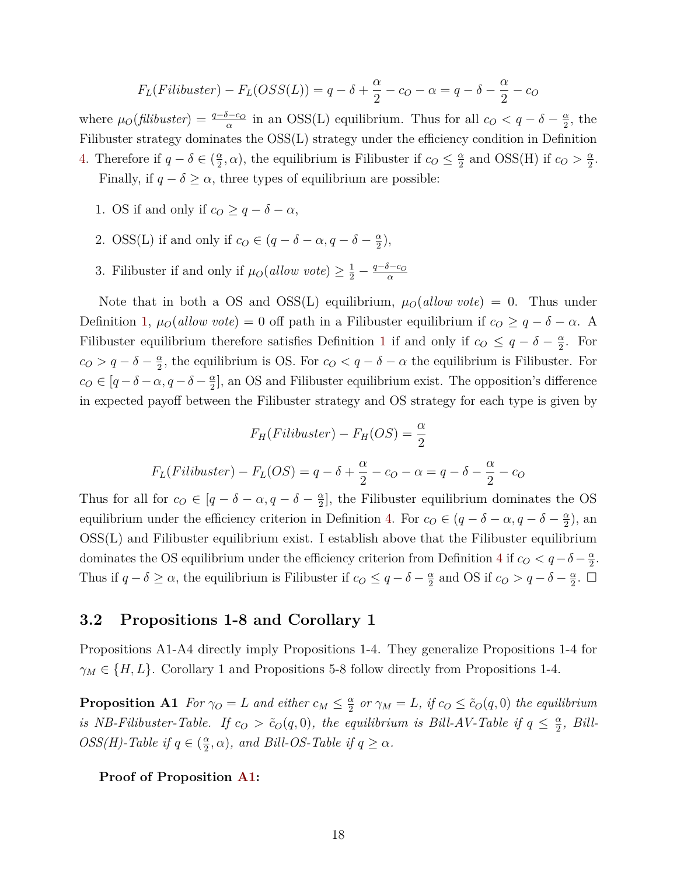$$
F_L(Filibuster) - F_L(OSS(L)) = q - \delta + \frac{\alpha}{2} - c_O - \alpha = q - \delta - \frac{\alpha}{2} - c_O
$$

where  $\mu_0$ (*filibuster*) =  $\frac{q-\delta-c_0}{\alpha}$  in an OSS(L) equilibrium. Thus for all  $c_0 < q-\delta - \frac{\alpha}{2}$  $\frac{\alpha}{2}$ , the Filibuster strategy dominates the OSS(L) strategy under the efficiency condition in Definition [4.](#page-4-2) Therefore if  $q - \delta \in \left(\frac{\alpha}{2}\right)$  $(\frac{\alpha}{2}, \alpha)$ , the equilibrium is Filibuster if  $c_0 \leq \frac{\alpha}{2}$  $\frac{\alpha}{2}$  and OSS(H) if  $c_O > \frac{\alpha}{2}$  $\frac{\alpha}{2}$ . Finally, if  $q - \delta \ge \alpha$ , three types of equilibrium are possible:

- 1. OS if and only if  $c_O \geq q \delta \alpha$ ,
- 2. OSS(L) if and only if  $c_O \in (q \delta \alpha, q \delta \frac{\alpha}{2})$  $\frac{\alpha}{2}$ ),
- 3. Filibuster if and only if  $\mu_O(allow \t{ \textit{vote} } \geq \frac{1}{2} \frac{q-\delta-c_O}{\alpha}$ *α*

Note that in both a OS and OSS(L) equilibrium,  $\mu_O(allow\ vote) = 0$ . Thus under Definition [1,](#page-3-0)  $\mu_0(\text{allow vote}) = 0$  off path in a Filibuster equilibrium if  $c_0 \geq q - \delta - \alpha$ . A Filibuster equilibrium therefore satisfies Definition [1](#page-3-0) if and only if  $c_0 \leq q - \delta - \frac{\alpha}{2}$  $\frac{\alpha}{2}$ . For  $c_O > q - \delta - \frac{\alpha}{2}$  $\frac{\alpha}{2}$ , the equilibrium is OS. For  $c_Q < q - \delta - \alpha$  the equilibrium is Filibuster. For  $c_O \in [q - \delta - \alpha, q - \delta - \frac{\alpha}{2}]$  $\frac{\alpha}{2}$ , an OS and Filibuster equilibrium exist. The opposition's difference in expected payoff between the Filibuster strategy and OS strategy for each type is given by

$$
F_H(Filibuster) - F_H(OS) = \frac{\alpha}{2}
$$
  

$$
F_L(Filibuster) - F_L(OS) = q - \delta + \frac{\alpha}{2} - c_O - \alpha = q - \delta - \frac{\alpha}{2} - c_O
$$

Thus for all for  $c_0 \in [q - \delta - \alpha, q - \delta - \frac{\alpha}{2}]$  $\frac{\alpha}{2}$ , the Filibuster equilibrium dominates the OS equilibrium under the efficiency criterion in Definition [4.](#page-4-2) For  $c_0 \in (q - \delta - \alpha, q - \delta - \frac{\alpha}{2})$  $\frac{\alpha}{2}$ ), an OSS(L) and Filibuster equilibrium exist. I establish above that the Filibuster equilibrium dominates the OS equilibrium under the efficiency criterion from Definition [4](#page-4-2) if  $c<sub>O</sub> < q-\delta-\frac{\alpha}{2}$  $\frac{\alpha}{2}$ . Thus if  $q - \delta \ge \alpha$ , the equilibrium is Filibuster if  $c_0 \le q - \delta - \frac{\alpha}{2}$  $\frac{\alpha}{2}$  and OS if  $c_O > q - \delta - \frac{\alpha}{2}$  $\frac{\alpha}{2}$ .  $\Box$ 

### <span id="page-18-0"></span>**3.2 Propositions 1-8 and Corollary 1**

Propositions A1-A4 directly imply Propositions 1-4. They generalize Propositions 1-4 for  $\gamma_M \in \{H, L\}$ . Corollary 1 and Propositions 5-8 follow directly from Propositions 1-4.

<span id="page-18-1"></span>**Proposition A1** *For*  $\gamma_O = L$  *and either*  $c_M \leq \frac{\alpha}{2}$  $\frac{\alpha}{2}$  *or*  $\gamma_M = L$ *, if*  $c_O \leq \tilde{c}_O(q, 0)$  the equilibrium *is NB-Filibuster-Table. If*  $c_O > \tilde{c}_O(q, 0)$ , the equilibrium is Bill-AV-Table if  $q \leq \frac{\alpha}{2}$  $\frac{\alpha}{2}$ *, Bill*-*OSS(H)*-Table if  $q \in \left(\frac{\alpha}{2}\right)$  $\frac{\alpha}{2}, \alpha$ ), and Bill-OS-Table if  $q \geq \alpha$ .

**Proof of Proposition [A1:](#page-18-1)**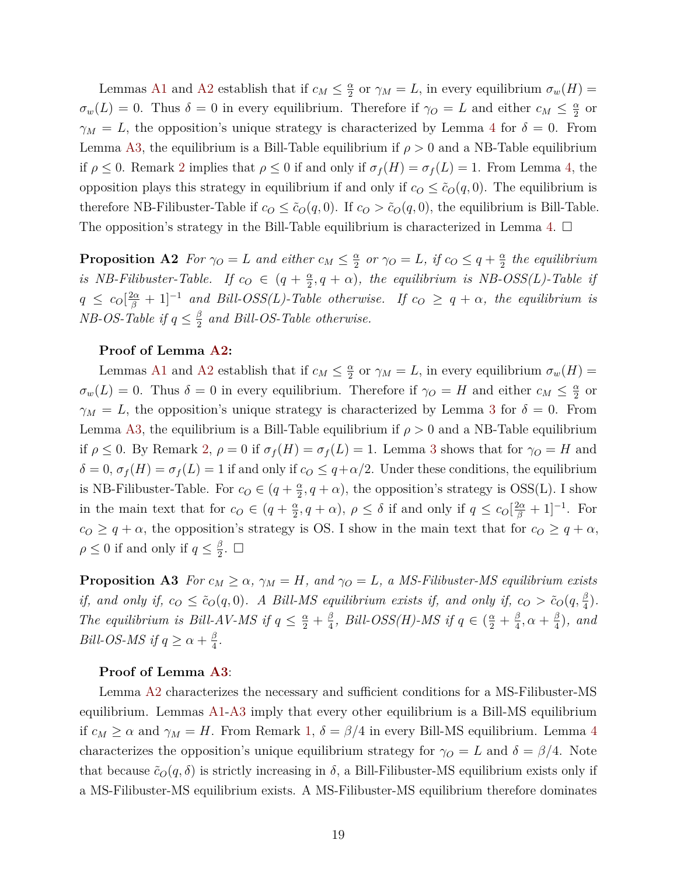Lemmas [A1](#page-6-2) and [A2](#page-7-2) establish that if  $c_M \leq \frac{\alpha}{2}$  $\frac{\alpha}{2}$  or  $\gamma_M = L$ , in every equilibrium  $\sigma_w(H) =$  $\sigma_w(L) = 0$ . Thus  $\delta = 0$  in every equilibrium. Therefore if  $\gamma_O = L$  and either  $c_M \leq \frac{\alpha}{2}$  $rac{\alpha}{2}$  or  $\gamma_M = L$ , the opposition's unique strategy is characterized by Lemma [4](#page-16-0) for  $\delta = 0$ . From Lemma [A3,](#page-7-3) the equilibrium is a Bill-Table equilibrium if  $\rho > 0$  and a NB-Table equilibrium if  $\rho \leq 0$ . Remark [2](#page-7-1) implies that  $\rho \leq 0$  if and only if  $\sigma_f(H) = \sigma_f(L) = 1$ . From Lemma [4,](#page-16-0) the opposition plays this strategy in equilibrium if and only if  $c<sub>O</sub> \leq \tilde{c}<sub>O</sub>(q, 0)$ . The equilibrium is therefore NB-Filibuster-Table if  $c_0 \leq \tilde{c}_O(q, 0)$ . If  $c_0 > \tilde{c}_O(q, 0)$ , the equilibrium is Bill-Table. The opposition's strategy in the Bill-Table equilibrium is characterized in Lemma [4.](#page-16-0)  $\Box$ 

<span id="page-19-0"></span>**Proposition A2** *For*  $\gamma_O = L$  *and either*  $c_M \leq \frac{\alpha}{2}$  $\frac{\alpha}{2}$  *or*  $\gamma_O = L$ *, if*  $c_O \leq q + \frac{\alpha}{2}$  $\frac{\alpha}{2}$  the equilibrium *is NB-Filibuster-Table.* If  $c_0 \in (q + \frac{\alpha}{2})$  $\frac{\alpha}{2}, q + \alpha$ ), the equilibrium is NB-OSS(L)-Table if  $q \leq c_0 \left[\frac{2\alpha}{\beta} + 1\right]^{-1}$  *and Bill-OSS(L)-Table otherwise.* If  $c_0 \geq q + \alpha$ , the equilibrium is *NB-OS-Table if*  $q \leq \frac{\beta}{2}$  $\frac{\beta}{2}$  and Bill-OS-Table otherwise.

### **Proof of Lemma [A2:](#page-19-0)**

Lemmas [A1](#page-6-2) and [A2](#page-7-2) establish that if  $c_M \leq \frac{\alpha}{2}$  $\frac{\alpha}{2}$  or  $\gamma_M = L$ , in every equilibrium  $\sigma_w(H) =$  $\sigma_w(L) = 0$ . Thus  $\delta = 0$  in every equilibrium. Therefore if  $\gamma_O = H$  and either  $c_M \leq \frac{\alpha}{2}$  $rac{\alpha}{2}$  or  $\gamma_M = L$ , the opposition's unique strategy is characterized by Lemma [3](#page-14-2) for  $\delta = 0$ . From Lemma [A3,](#page-7-3) the equilibrium is a Bill-Table equilibrium if  $\rho > 0$  and a NB-Table equilibrium if  $\rho \leq 0$ . By Remark [2,](#page-7-1)  $\rho = 0$  if  $\sigma_f(H) = \sigma_f(L) = 1$ . Lemma [3](#page-14-2) shows that for  $\gamma_O = H$  and  $\delta = 0$ ,  $\sigma_f(H) = \sigma_f(L) = 1$  if and only if  $c_O \leq q + \alpha/2$ . Under these conditions, the equilibrium is NB-Filibuster-Table. For  $c_0 \in (q + \frac{\alpha}{2})$  $\frac{\alpha}{2}$ , *q* + *α*), the opposition's strategy is OSS(L). I show in the main text that for  $c_0 \in (q + \frac{\alpha}{2})$  $\frac{\alpha}{2}$ ,  $q + \alpha$ ),  $\rho \leq \delta$  if and only if  $q \leq c_0 \left[\frac{2\alpha}{\beta} + 1\right]^{-1}$ . For  $c_0 \geq q + \alpha$ , the opposition's strategy is OS. I show in the main text that for  $c_0 \geq q + \alpha$ ,  $\rho \leq 0$  if and only if  $q \leq \frac{\beta}{2}$  $\frac{\beta}{2}$ .  $\Box$ 

<span id="page-19-1"></span>**Proposition A3** *For*  $c_M \geq \alpha$ ,  $\gamma_M = H$ *, and*  $\gamma_O = L$ *, a MS-Filibuster-MS equilibrium exists if, and only if,*  $c_O \leq \tilde{c}_O(q, 0)$ *. A Bill-MS equilibrium exists if, and only if,*  $c_O > \tilde{c}_O(q, \frac{\beta}{4})$ *. The equilibrium is Bill-AV-MS if*  $q \leq \frac{\alpha}{2} + \frac{\beta}{4}$  $\frac{\beta}{4}$ *, Bill-OSS(H)-MS if*  $q \in (\frac{\alpha}{2} + \frac{\beta}{4})$  $\frac{\beta}{4}$ ,  $\alpha + \frac{\beta}{4}$  $\frac{\beta}{4}$ ), and *Bill-OS-MS if*  $q \geq \alpha + \frac{\beta}{4}$  $\frac{3}{4}$ .

### **Proof of Lemma [A3](#page-19-1)**:

Lemma [A2](#page-7-2) characterizes the necessary and sufficient conditions for a MS-Filibuster-MS equilibrium. Lemmas [A1-](#page-6-2)[A3](#page-7-3) imply that every other equilibrium is a Bill-MS equilibrium if  $c_M \ge \alpha$  and  $\gamma_M = H$ . From Remark [1,](#page-7-0)  $\delta = \beta/4$  $\delta = \beta/4$  in every Bill-MS equilibrium. Lemma 4 characterizes the opposition's unique equilibrium strategy for  $\gamma_O = L$  and  $\delta = \beta/4$ . Note that because  $\tilde{c}_O(q,\delta)$  is strictly increasing in  $\delta$ , a Bill-Filibuster-MS equilibrium exists only if a MS-Filibuster-MS equilibrium exists. A MS-Filibuster-MS equilibrium therefore dominates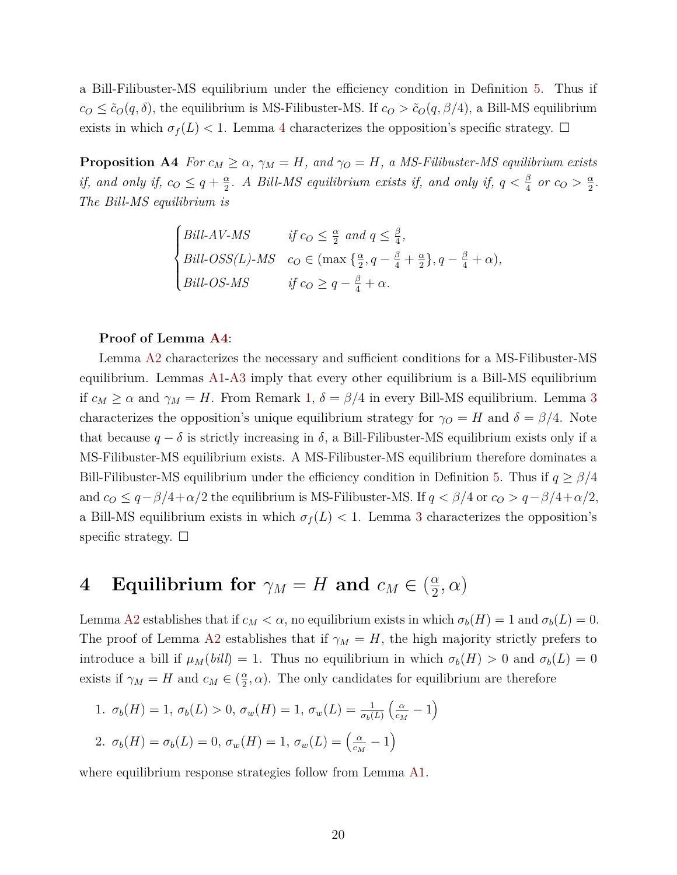a Bill-Filibuster-MS equilibrium under the efficiency condition in Definition [5.](#page-6-3) Thus if  $c_0 \leq \tilde{c}_O(q, \delta)$ , the equilibrium is MS-Filibuster-MS. If  $c_0 > \tilde{c}_O(q, \beta/4)$ , a Bill-MS equilibrium exists in which  $\sigma_f(L)$  < 1. Lemma [4](#page-16-0) characterizes the opposition's specific strategy.  $\Box$ 

<span id="page-20-1"></span>**Proposition A4** *For*  $c_M \geq \alpha$ ,  $\gamma_M = H$ *, and*  $\gamma_O = H$ *, a MS-Filibuster-MS equilibrium exists if, and only if, c<sub>O</sub>*  $\leq q + \frac{\alpha}{2}$  $\frac{\alpha}{2}$ *. A Bill-MS equilibrium exists if, and only if,*  $q < \frac{\beta}{4}$  or  $c_O > \frac{\alpha}{2}$  $\frac{\alpha}{2}$ . *The Bill-MS equilibrium is*

$$
\begin{cases}\nBill-AV-MS & \text{if } c_O \leq \frac{\alpha}{2} \text{ and } q \leq \frac{\beta}{4}, \\
Bill-OSS(L)-MS & c_O \in (\max\left\{\frac{\alpha}{2}, q - \frac{\beta}{4} + \frac{\alpha}{2}\right\}, q - \frac{\beta}{4} + \alpha), \\
Bill-OS-MS & \text{if } c_O \geq q - \frac{\beta}{4} + \alpha.\n\end{cases}
$$

#### **Proof of Lemma [A4](#page-20-1)**:

Lemma [A2](#page-7-2) characterizes the necessary and sufficient conditions for a MS-Filibuster-MS equilibrium. Lemmas [A1-](#page-6-2)[A3](#page-7-3) imply that every other equilibrium is a Bill-MS equilibrium if  $c_M \ge \alpha$  and  $\gamma_M = H$ . From Remark [1,](#page-7-0)  $\delta = \beta/4$  in every Bill-MS equilibrium. Lemma [3](#page-14-2) characterizes the opposition's unique equilibrium strategy for  $\gamma_O = H$  and  $\delta = \beta/4$ . Note that because  $q - \delta$  is strictly increasing in  $\delta$ , a Bill-Filibuster-MS equilibrium exists only if a MS-Filibuster-MS equilibrium exists. A MS-Filibuster-MS equilibrium therefore dominates a Bill-Filibuster-MS equilibrium under the efficiency condition in Definition [5.](#page-6-3) Thus if *q* ≥ *β/*4 and  $c_0 \leq q - \beta/4 + \alpha/2$  the equilibrium is MS-Filibuster-MS. If  $q < \beta/4$  or  $c_0 > q - \beta/4 + \alpha/2$ , a Bill-MS equilibrium exists in which  $\sigma_f(L)$  < 1. Lemma [3](#page-14-2) characterizes the opposition's specific strategy.  $\Box$ 

### <span id="page-20-0"></span>**4** Equilibrium for  $\gamma_M = H$  and  $c_M \in \left(\frac{\alpha}{2}\right)$  $\frac{\alpha}{2}, \alpha)$

Lemma [A2](#page-7-2) establishes that if  $c_M < \alpha$ , no equilibrium exists in which  $\sigma_b(H) = 1$  and  $\sigma_b(L) = 0$ . The proof of Lemma [A2](#page-7-2) establishes that if  $\gamma_M = H$ , the high majority strictly prefers to introduce a bill if  $\mu_M(bill) = 1$ . Thus no equilibrium in which  $\sigma_b(H) > 0$  and  $\sigma_b(L) = 0$ exists if  $\gamma_M = H$  and  $c_M \in \left(\frac{\alpha}{2}\right)$  $\frac{\alpha}{2}$ ,  $\alpha$ ). The only candidates for equilibrium are therefore

1. 
$$
\sigma_b(H) = 1
$$
,  $\sigma_b(L) > 0$ ,  $\sigma_w(H) = 1$ ,  $\sigma_w(L) = \frac{1}{\sigma_b(L)} \left( \frac{\alpha}{c_M} - 1 \right)$   
\n2.  $\sigma_b(H) = \sigma_b(L) = 0$ ,  $\sigma_w(H) = 1$ ,  $\sigma_w(L) = \left( \frac{\alpha}{c_M} - 1 \right)$ 

where equilibrium response strategies follow from Lemma [A1.](#page-6-2)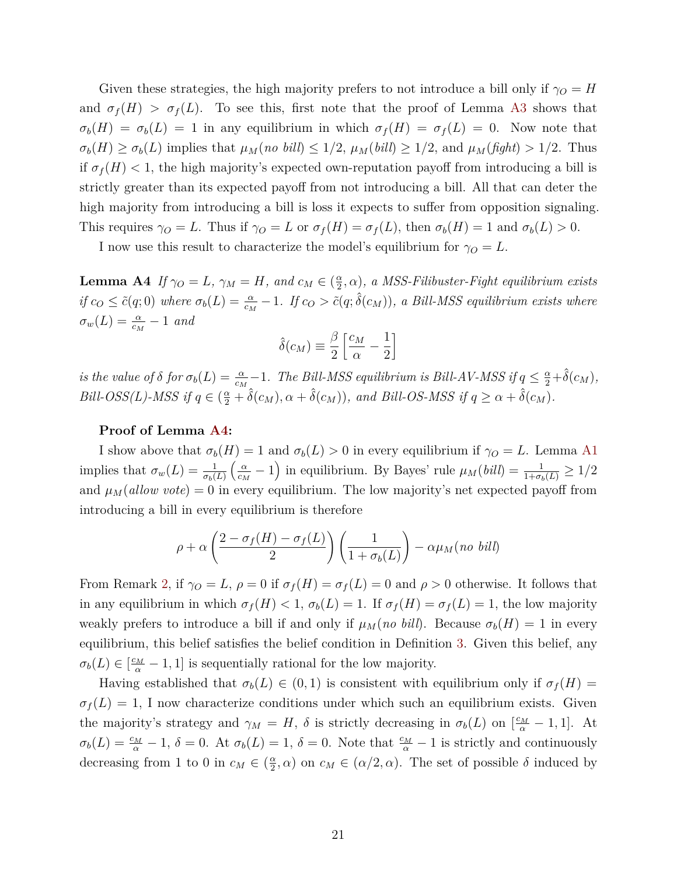Given these strategies, the high majority prefers to not introduce a bill only if  $\gamma_O = H$ and  $\sigma_f(H) > \sigma_f(L)$ . To see this, first note that the proof of Lemma [A3](#page-7-3) shows that  $\sigma_b(H) = \sigma_b(L) = 1$  in any equilibrium in which  $\sigma_f(H) = \sigma_f(L) = 0$ . Now note that  $\sigma_b(H) \geq \sigma_b(L)$  implies that  $\mu_M(no \; bill) \leq 1/2$ ,  $\mu_M(bill) \geq 1/2$ , and  $\mu_M(fight) > 1/2$ . Thus if  $\sigma_f(H)$  < 1, the high majority's expected own-reputation payoff from introducing a bill is strictly greater than its expected payoff from not introducing a bill. All that can deter the high majority from introducing a bill is loss it expects to suffer from opposition signaling. This requires  $\gamma_O = L$ . Thus if  $\gamma_O = L$  or  $\sigma_f(H) = \sigma_f(L)$ , then  $\sigma_b(H) = 1$  and  $\sigma_b(L) > 0$ .

I now use this result to characterize the model's equilibrium for  $\gamma_O = L$ .

<span id="page-21-0"></span>**Lemma A4** *If*  $\gamma_O = L$ *,*  $\gamma_M = H$ *, and*  $c_M \in \left(\frac{\alpha}{2}\right)$  $(\frac{\alpha}{2}, \alpha)$ , a MSS-Filibuster-Fight equilibrium exists if  $c_O \le \tilde{c}(q;0)$  where  $\sigma_b(L) = \frac{\alpha}{c_M} - 1$ . If  $c_O > \tilde{c}(q;\hat{\delta}(c_M))$ , a Bill-MSS equilibrium exists where  $\sigma_w(L) = \frac{\alpha}{c_M} - 1$  *and* 

$$
\hat{\delta}(c_M) \equiv \frac{\beta}{2} \left[ \frac{c_M}{\alpha} - \frac{1}{2} \right]
$$

*is the value of*  $\delta$  *for*  $\sigma_b(L) = \frac{\alpha}{c_M} - 1$ *. The Bill-MSS equilibrium is Bill-AV-MSS if*  $q \leq \frac{\alpha}{2} + \hat{\delta}(c_M)$ *, Bill-OSS(L)-MSS if*  $q \in (\frac{\alpha}{2} + \hat{\delta}(c_M), \alpha + \hat{\delta}(c_M))$ *, and Bill-OS-MSS if*  $q \ge \alpha + \hat{\delta}(c_M)$ *.* 

### **Proof of Lemma [A4:](#page-21-0)**

I show above that  $\sigma_b(H) = 1$  and  $\sigma_b(L) > 0$  in every equilibrium if  $\gamma_O = L$ . Lemma [A1](#page-6-2) implies that  $\sigma_w(L) = \frac{1}{\sigma_b(L)}$  *α*  $\frac{\alpha}{c_M} - 1$ ) in equilibrium. By Bayes' rule  $\mu_M(bill) = \frac{1}{1 + \sigma_b(L)} \geq 1/2$ and  $\mu_M(\text{allow vote}) = 0$  in every equilibrium. The low majority's net expected payoff from introducing a bill in every equilibrium is therefore

$$
\rho + \alpha \left(\frac{2 - \sigma_f(H) - \sigma_f(L)}{2}\right) \left(\frac{1}{1 + \sigma_b(L)}\right) - \alpha \mu_M(no \; bill)
$$

From Remark [2,](#page-7-1) if  $\gamma_O = L$ ,  $\rho = 0$  if  $\sigma_f(H) = \sigma_f(L) = 0$  and  $\rho > 0$  otherwise. It follows that in any equilibrium in which  $\sigma_f(H) < 1$ ,  $\sigma_b(L) = 1$ . If  $\sigma_f(H) = \sigma_f(L) = 1$ , the low majority weakly prefers to introduce a bill if and only if  $\mu_M(no\; bill)$ . Because  $\sigma_b(H) = 1$  in every equilibrium, this belief satisfies the belief condition in Definition [3.](#page-4-1) Given this belief, any  $\sigma_b(L) \in \left[\frac{c_M}{\alpha} - 1, 1\right]$  is sequentially rational for the low majority.

Having established that  $\sigma_b(L) \in (0,1)$  is consistent with equilibrium only if  $\sigma_f(H)$  $\sigma_f(L) = 1$ , I now characterize conditions under which such an equilibrium exists. Given the majority's strategy and  $\gamma_M = H$ ,  $\delta$  is strictly decreasing in  $\sigma_b(L)$  on  $\left[\frac{c_M}{\alpha} - 1, 1\right]$ . At  $\sigma_b(L) = \frac{c_M}{\alpha} - 1$ ,  $\delta = 0$ . At  $\sigma_b(L) = 1$ ,  $\delta = 0$ . Note that  $\frac{c_M}{\alpha} - 1$  is strictly and continuously decreasing from 1 to 0 in  $c_M \in \left(\frac{\alpha}{2}\right)$  $(\frac{\alpha}{2}, \alpha)$  on  $c_M \in (\alpha/2, \alpha)$ . The set of possible  $\delta$  induced by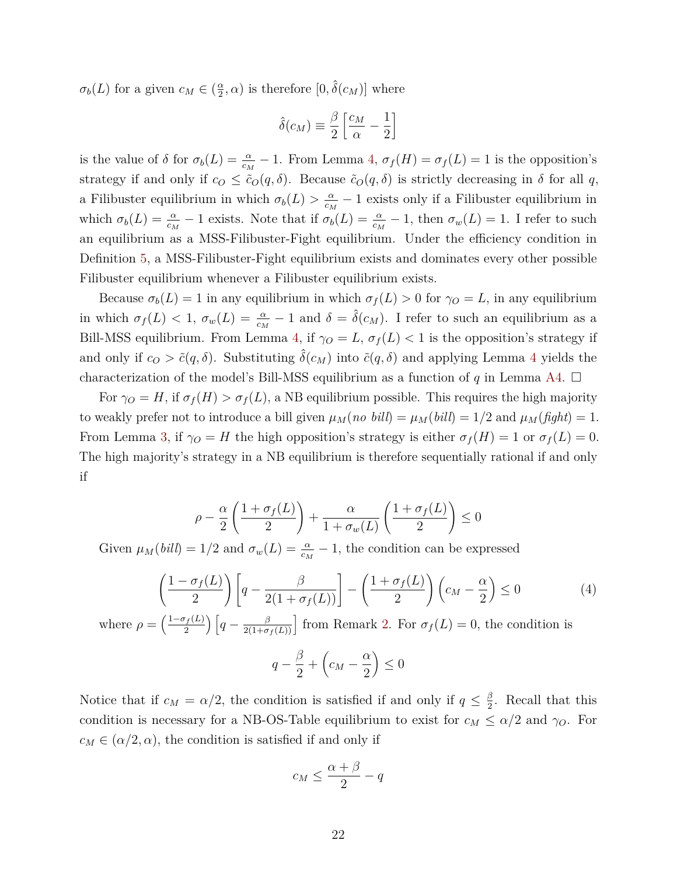$\sigma_b(L)$  for a given  $c_M \in \left(\frac{\alpha}{2}\right)$  $(\frac{\alpha}{2}, \alpha)$  is therefore  $[0, \hat{\delta}(c_M)]$  where

$$
\hat{\delta}(c_M) \equiv \frac{\beta}{2} \left[ \frac{c_M}{\alpha} - \frac{1}{2} \right]
$$

is the value of  $\delta$  for  $\sigma_b(L) = \frac{\alpha}{c_M} - 1$ . From Lemma [4,](#page-16-0)  $\sigma_f(H) = \sigma_f(L) = 1$  is the opposition's strategy if and only if  $c_0 \leq \tilde{c}_O(q, \delta)$ . Because  $\tilde{c}_O(q, \delta)$  is strictly decreasing in  $\delta$  for all  $q$ , a Filibuster equilibrium in which  $\sigma_b(L) > \frac{\alpha}{c}$  $\frac{\alpha}{c_M}$  − 1 exists only if a Filibuster equilibrium in which  $\sigma_b(L) = \frac{\alpha}{c_M} - 1$  exists. Note that if  $\sigma_b(L) = \frac{\alpha}{c_M} - 1$ , then  $\sigma_w(L) = 1$ . I refer to such an equilibrium as a MSS-Filibuster-Fight equilibrium. Under the efficiency condition in Definition [5,](#page-6-3) a MSS-Filibuster-Fight equilibrium exists and dominates every other possible Filibuster equilibrium whenever a Filibuster equilibrium exists.

Because  $\sigma_b(L) = 1$  in any equilibrium in which  $\sigma_f(L) > 0$  for  $\gamma_O = L$ , in any equilibrium in which  $\sigma_f(L) < 1$ ,  $\sigma_w(L) = \frac{\alpha}{c_M} - 1$  and  $\delta = \hat{\delta}(c_M)$ . I refer to such an equilibrium as a Bill-MSS equilibrium. From Lemma [4,](#page-16-0) if  $\gamma_O = L$ ,  $\sigma_f(L) < 1$  is the opposition's strategy if and only if  $c_0 > \tilde{c}(q, \delta)$ . Substituting  $\hat{\delta}(c_M)$  into  $\tilde{c}(q, \delta)$  and applying Lemma [4](#page-16-0) yields the characterization of the model's Bill-MSS equilibrium as a function of  $q$  in Lemma [A4.](#page-21-0)  $\Box$ 

For  $\gamma_O = H$ , if  $\sigma_f(H) > \sigma_f(L)$ , a NB equilibrium possible. This requires the high majority to weakly prefer not to introduce a bill given  $\mu_M(no \; bill) = \mu_M(bill) = 1/2$  and  $\mu_M(fight) = 1$ . From Lemma [3,](#page-14-2) if  $\gamma_O = H$  the high opposition's strategy is either  $\sigma_f(H) = 1$  or  $\sigma_f(L) = 0$ . The high majority's strategy in a NB equilibrium is therefore sequentially rational if and only if

$$
\rho - \frac{\alpha}{2} \left( \frac{1 + \sigma_f(L)}{2} \right) + \frac{\alpha}{1 + \sigma_w(L)} \left( \frac{1 + \sigma_f(L)}{2} \right) \le 0
$$

Given  $\mu_M(bil) = 1/2$  and  $\sigma_w(L) = \frac{\alpha}{c_M} - 1$ , the condition can be expressed

<span id="page-22-0"></span>
$$
\left(\frac{1-\sigma_f(L)}{2}\right)\left[q-\frac{\beta}{2(1+\sigma_f(L))}\right]-\left(\frac{1+\sigma_f(L)}{2}\right)\left(c_M-\frac{\alpha}{2}\right)\leq 0\tag{4}
$$

where  $\rho = \left(\frac{1-\sigma_f(L)}{2}\right)$  $\frac{f_f(L)}{2}$   $\left[ q - \frac{\beta}{2(1+\sigma_f(L))} \right]$  from Remark [2.](#page-7-1) For  $\sigma_f(L) = 0$ , the condition is

$$
q - \frac{\beta}{2} + \left(c_M - \frac{\alpha}{2}\right) \le 0
$$

Notice that if  $c_M = \alpha/2$ , the condition is satisfied if and only if  $q \leq \frac{\beta}{2}$  $\frac{\beta}{2}$ . Recall that this condition is necessary for a NB-OS-Table equilibrium to exist for  $c_M \le \alpha/2$  and  $\gamma_O$ . For  $c_M \in (\alpha/2, \alpha)$ , the condition is satisfied if and only if

$$
c_M \le \frac{\alpha + \beta}{2} - q
$$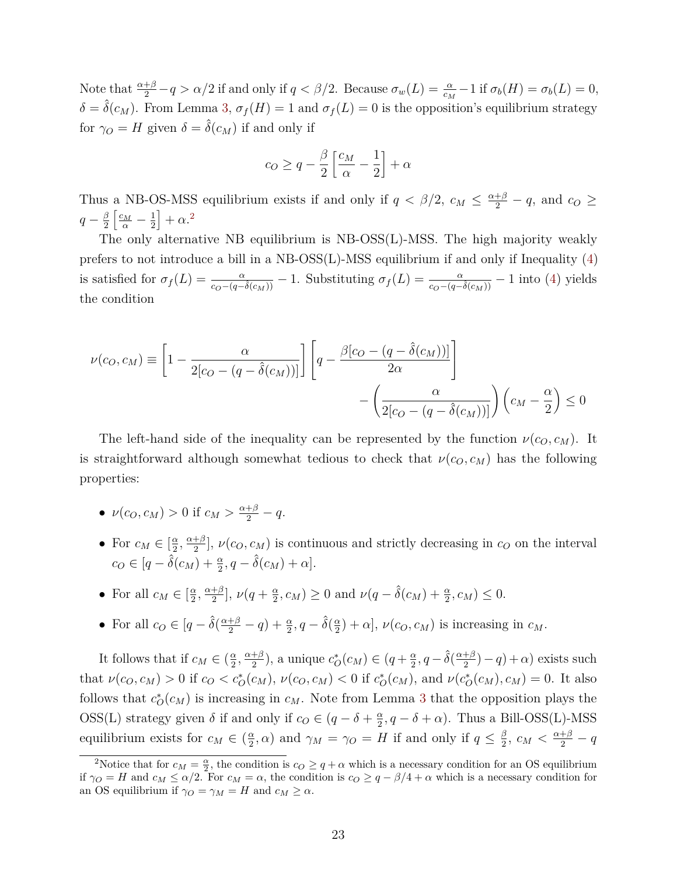Note that  $\frac{\alpha+\beta}{2} - q > \alpha/2$  if and only if  $q < \beta/2$ . Because  $\sigma_w(L) = \frac{\alpha}{c_M} - 1$  if  $\sigma_b(H) = \sigma_b(L) = 0$ ,  $\delta = \hat{\delta}(c_M)$ . From Lemma [3,](#page-14-2)  $\sigma_f(H) = 1$  and  $\sigma_f(L) = 0$  is the opposition's equilibrium strategy for  $\gamma_O = H$  given  $\delta = \hat{\delta}(c_M)$  if and only if

$$
c_O \ge q - \frac{\beta}{2} \left[ \frac{c_M}{\alpha} - \frac{1}{2} \right] + \alpha
$$

Thus a NB-OS-MSS equilibrium exists if and only if  $q < \beta/2$ ,  $c_M \leq \frac{\alpha+\beta}{2} - q$ , and  $c_O \geq$  $q-\frac{\beta}{2}$ 2  $\left[\frac{c_M}{\alpha}-\frac{1}{2}\right]$ 2  $+\alpha$ <sup>[2](#page-0-0)</sup>

The only alternative NB equilibrium is NB-OSS(L)-MSS. The high majority weakly prefers to not introduce a bill in a NB-OSS(L)-MSS equilibrium if and only if Inequality [\(4\)](#page-22-0) is satisfied for  $\sigma_f(L) = \frac{\alpha}{c_O - (q - \hat{\delta}(c_M))} - 1$ . Substituting  $\sigma_f(L) = \frac{\alpha}{c_O - (q - \hat{\delta}(c_M))} - 1$  into [\(4\)](#page-22-0) yields the condition

$$
\nu(c_O, c_M) \equiv \left[1 - \frac{\alpha}{2[c_O - (q - \hat{\delta}(c_M))]}\right] \left[q - \frac{\beta[c_O - (q - \hat{\delta}(c_M))]}{2\alpha}\right] - \left(\frac{\alpha}{2[c_O - (q - \hat{\delta}(c_M))]}\right) \left(c_M - \frac{\alpha}{2}\right) \le 0
$$

The left-hand side of the inequality can be represented by the function  $\nu(c_0, c_M)$ . It is straightforward although somewhat tedious to check that  $\nu(c_0, c_M)$  has the following properties:

- $\nu(c_0, c_M) > 0$  if  $c_M > \frac{\alpha + \beta}{2} q$ .
- For  $c_M \in \left[\frac{\alpha}{2}\right]$  $\frac{\alpha}{2}$ ,  $\frac{\alpha+\beta}{2}$  $\frac{1+\beta}{2}$ ,  $\nu(c_O, c_M)$  is continuous and strictly decreasing in  $c_O$  on the interval  $c_O \in [q - \hat{\delta}(c_M) + \frac{\alpha}{2}, q - \hat{\delta}(c_M) + \alpha].$
- For all  $c_M \in \left[\frac{\alpha}{2}\right]$  $\frac{\alpha}{2}$ <sup>*,*  $\frac{\alpha+\beta}{2}$ </sup>  $\frac{+\beta}{2}$ ,  $\nu(q+\frac{\alpha}{2})$  $\frac{\alpha}{2}, c_M$ ) ≥ 0 and  $\nu(q - \hat{\delta}(c_M) + \frac{\alpha}{2}, c_M) \leq 0.$
- For all  $c_O \in [q \hat{\delta}(\frac{\alpha + \beta}{2} q) + \frac{\alpha}{2}, q \hat{\delta}(\frac{\alpha}{2})$  $(\frac{\alpha}{2}) + \alpha$ ,  $\nu(c_O, c_M)$  is increasing in  $c_M$ .

It follows that if  $c_M \in \left(\frac{\alpha}{2}\right)$  $\frac{\alpha}{2}, \frac{\alpha+\beta}{2}$  $\frac{+\beta}{2}$ ), a unique  $c_O^*(c_M) \in (q + \frac{\alpha}{2})$  $\frac{\alpha}{2}$ ,  $q - \hat{\delta}(\frac{\alpha + \beta}{2})$  $\frac{+\beta}{2}$ ) – *q*) + *α*) exists such that  $\nu(c_0, c_M) > 0$  if  $c_0 < c_O^*(c_M)$ ,  $\nu(c_0, c_M) < 0$  if  $c_O^*(c_M)$ , and  $\nu(c_O^*(c_M), c_M) = 0$ . It also follows that  $c^*_{\mathcal{O}}(c_M)$  is increasing in  $c_M$ . Note from Lemma [3](#page-14-2) that the opposition plays the OSS(L) strategy given  $\delta$  if and only if  $c_0 \in (q - \delta + \frac{\alpha}{2})$  $\frac{\alpha}{2}$ ,  $q - \delta + \alpha$ ). Thus a Bill-OSS(L)-MSS equilibrium exists for  $c_M \in \left(\frac{\alpha}{2}\right)$  $\frac{\alpha}{2}$ ,  $\alpha$ ) and  $\gamma_M = \gamma_O = H$  if and only if  $q \leq \frac{\beta}{2}$  $\frac{\beta}{2}$ ,  $c_M < \frac{\alpha+\beta}{2} - q$ 

<sup>&</sup>lt;sup>2</sup>Notice that for  $c_M = \frac{\alpha}{2}$ , the condition is  $c_O \geq q + \alpha$  which is a necessary condition for an OS equilibrium if  $\gamma_O = H$  and  $c_M \leq \alpha/2$ . For  $c_M = \alpha$ , the condition is  $c_O \geq q - \beta/4 + \alpha$  which is a necessary condition for an OS equilibrium if  $\gamma_O = \gamma_M = H$  and  $c_M \geq \alpha$ .